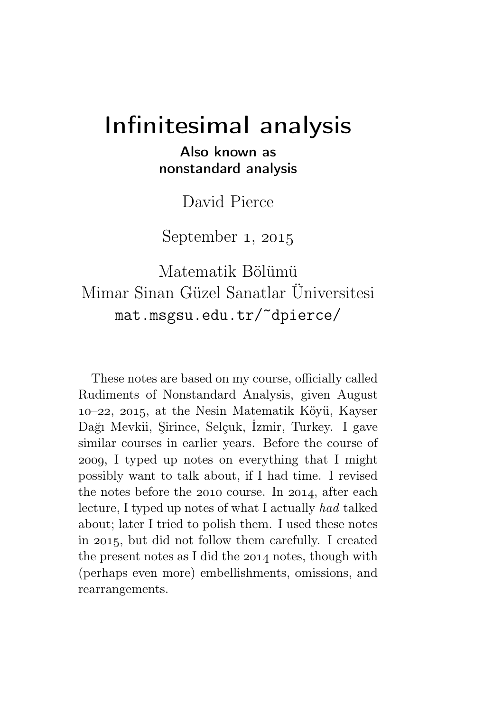# Infinitesimal analysis

### Also known as nonstandard analysis

David Pierce

September  $1, 2015$ 

# Matematik Bölümü Mimar Sinan Güzel Sanatlar Üniversitesi mat.msgsu.edu.tr/~dpierce/

These notes are based on my course, officially called Rudiments of Nonstandard Analysis, given August –, , at the Nesin Matematik Köyü, Kayser Dağı Mevkii, Şirince, Selçuk, İzmir, Turkey. I gave similar courses in earlier years. Before the course of , I typed up notes on everything that I might possibly want to talk about, if I had time. I revised the notes before the  $2010$  course. In  $2014$ , after each lecture, I typed up notes of what I actually had talked about; later I tried to polish them. I used these notes in 2015, but did not follow them carefully. I created the present notes as I did the  $2014$  notes, though with (perhaps even more) embellishments, omissions, and rearrangements.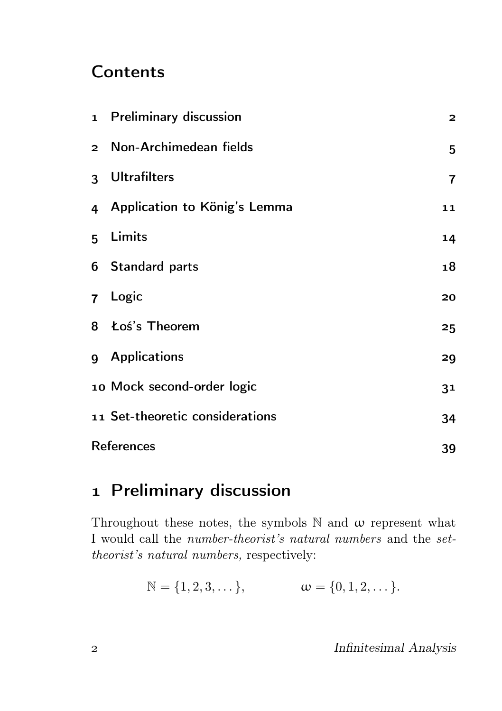## **Contents**

| 1 Preliminary discussion        | $\overline{a}$          |
|---------------------------------|-------------------------|
| 2 Non-Archimedean fields        | 5                       |
| 3 Ultrafilters                  | $\overline{\mathbf{r}}$ |
| 4 Application to König's Lemma  | 11                      |
| 5 Limits                        | 14                      |
| 6 Standard parts                | 18                      |
| 7 Logic                         | 20                      |
| 8 Łoś's Theorem                 | 25                      |
| g Applications                  | 29                      |
| 10 Mock second-order logic      | 3 <sup>1</sup>          |
| 11 Set-theoretic considerations | 34                      |
| <b>References</b>               |                         |

# 1 Preliminary discussion

Throughout these notes, the symbols  $\mathbb N$  and  $\omega$  represent what I would call the number-theorist's natural numbers and the settheorist's natural numbers, respectively:

 $\mathbb{N} = \{1, 2, 3, \dots\},\qquad \omega = \{0, 1, 2, \dots\}.$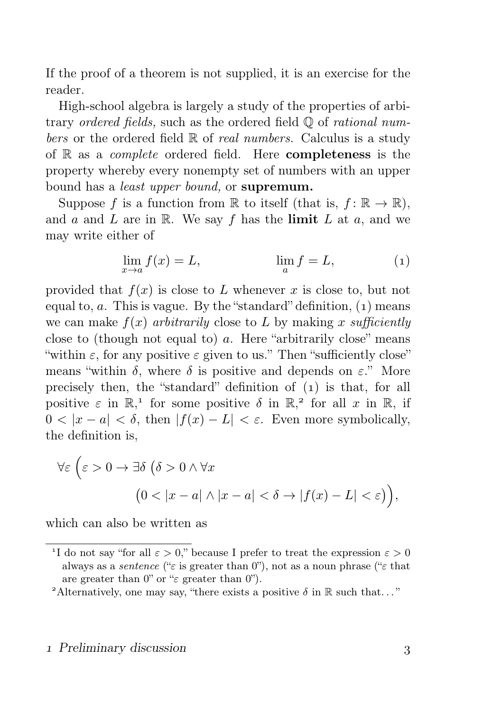If the proof of a theorem is not supplied, it is an exercise for the reader.

High-school algebra is largely a study of the properties of arbitrary ordered fields, such as the ordered field Q of rational numbers or the ordered field  $\mathbb R$  of *real numbers*. Calculus is a study of  $\mathbb R$  as a *complete* ordered field. Here **completeness** is the property whereby every nonempty set of numbers with an upper bound has a least upper bound, or supremum.

Suppose f is a function from  $\mathbb R$  to itself (that is,  $f: \mathbb R \to \mathbb R$ ), and a and L are in R. We say f has the limit L at a, and we may write either of

$$
\lim_{x \to a} f(x) = L, \qquad \lim_{a} f = L,\tag{1}
$$

provided that  $f(x)$  is close to L whenever x is close to, but not equal to,  $a$ . This is vague. By the "standard" definition,  $(1)$  means we can make  $f(x)$  arbitrarily close to L by making x sufficiently close to (though not equal to) a. Here "arbitrarily close" means "within  $\varepsilon$ , for any positive  $\varepsilon$  given to us." Then "sufficiently close" means "within  $\delta$ , where  $\delta$  is positive and depends on  $\varepsilon$ ." More precisely then, the "standard" definition of  $(1)$  is that, for all positive  $\varepsilon$  in  $\mathbb{R}^1$ , for some positive  $\delta$  in  $\mathbb{R}^2$ , for all x in  $\mathbb{R}$ , if  $0 < |x - a| < \delta$ , then  $|f(x) - L| < \varepsilon$ . Even more symbolically, the definition is,

$$
\forall \varepsilon \left( \varepsilon > 0 \to \exists \delta \left( \delta > 0 \land \forall x \right. \right.\n\left( 0 < |x - a| \land |x - a| < \delta \to |f(x) - L| < \varepsilon \right) \right),
$$

which can also be written as

<sup>&</sup>lt;sup>1</sup>I do not say "for all  $\varepsilon > 0$ ," because I prefer to treat the expression  $\varepsilon > 0$ always as a *sentence* (" $\varepsilon$  is greater than 0"), not as a noun phrase (" $\varepsilon$  that are greater than  $0$ " or " $\varepsilon$  greater than  $0$ ").

<sup>&</sup>lt;sup>2</sup>Alternatively, one may say, "there exists a positive  $\delta$  in  $\mathbb R$  such that..."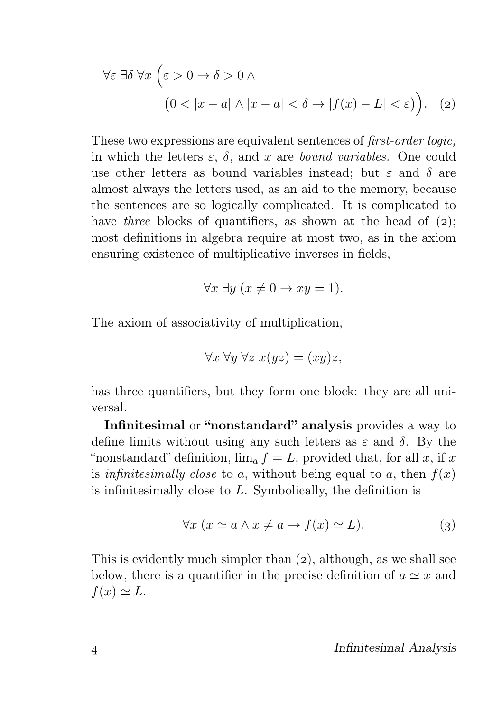$$
\forall \varepsilon \exists \delta \,\forall x \, \left( \varepsilon > 0 \to \delta > 0 \land \right.\n \left( 0 < |x - a| \land |x - a| < \delta \to |f(x) - L| < \varepsilon \right) \right). \tag{2}
$$

These two expressions are equivalent sentences of first-order logic, in which the letters  $\varepsilon$ ,  $\delta$ , and x are *bound variables*. One could use other letters as bound variables instead; but  $\varepsilon$  and  $\delta$  are almost always the letters used, as an aid to the memory, because the sentences are so logically complicated. It is complicated to have three blocks of quantifiers, as shown at the head of  $(2)$ ; most definitions in algebra require at most two, as in the axiom ensuring existence of multiplicative inverses in fields,

$$
\forall x \exists y \ (x \neq 0 \to xy = 1).
$$

The axiom of associativity of multiplication,

$$
\forall x \ \forall y \ \forall z \ x(yz) = (xy)z,
$$

has three quantifiers, but they form one block: they are all universal.

Infinitesimal or "nonstandard" analysis provides a way to define limits without using any such letters as  $\varepsilon$  and  $\delta$ . By the "nonstandard" definition,  $\lim_{a} f = L$ , provided that, for all x, if x is infinitesimally close to a, without being equal to a, then  $f(x)$ is infinitesimally close to L. Symbolically, the definition is

$$
\forall x \ (x \simeq a \land x \neq a \to f(x) \simeq L). \tag{3}
$$

This is evidently much simpler than  $(2)$ , although, as we shall see below, there is a quantifier in the precise definition of  $a \simeq x$  and  $f(x) \simeq L.$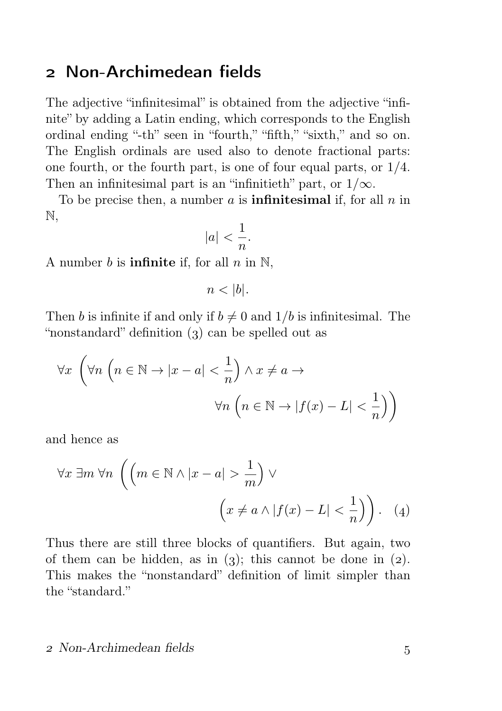### Non-Archimedean fields

The adjective "infinitesimal" is obtained from the adjective "infinite" by adding a Latin ending, which corresponds to the English ordinal ending "-th" seen in "fourth," "fifth," "sixth," and so on. The English ordinals are used also to denote fractional parts: one fourth, or the fourth part, is one of four equal parts, or 1/4. Then an infinitesimal part is an "infinitieth" part, or  $1/\infty$ .

To be precise then, a number a is **infinitesimal** if, for all  $n$  in N,

$$
|a| < \frac{1}{n}.
$$

A number b is **infinite** if, for all  $n$  in  $\mathbb{N}$ ,

$$
n < |b|.
$$

Then b is infinite if and only if  $b \neq 0$  and  $1/b$  is infinitesimal. The "nonstandard" definition  $(3)$  can be spelled out as

$$
\forall x \ \left( \forall n \ \left( n \in \mathbb{N} \to |x - a| < \frac{1}{n} \right) \land x \neq a \to \\ \forall n \ \left( n \in \mathbb{N} \to |f(x) - L| < \frac{1}{n} \right) \right)
$$

and hence as

$$
\forall x \exists m \forall n \left( \left( m \in \mathbb{N} \land |x - a| > \frac{1}{m} \right) \lor \left( x \neq a \land |f(x) - L| < \frac{1}{n} \right) \right). \tag{4}
$$

Thus there are still three blocks of quantifiers. But again, two of them can be hidden, as in  $(3)$ ; this cannot be done in  $(2)$ . This makes the "nonstandard" definition of limit simpler than the "standard."

#### Non-Archimedean fields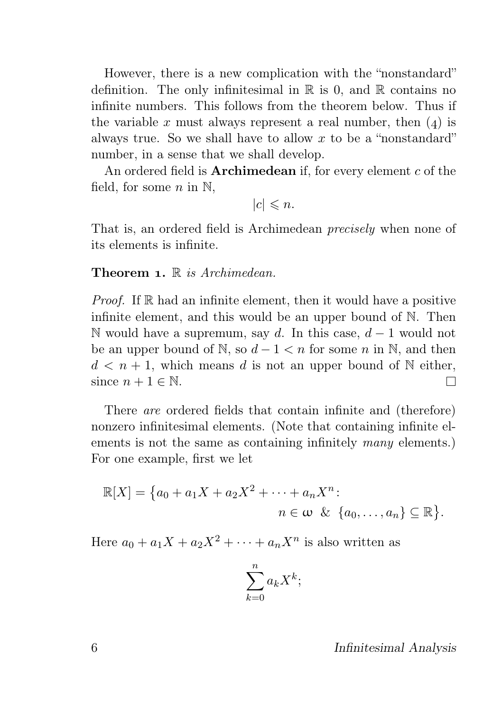However, there is a new complication with the "nonstandard" definition. The only infinitesimal in  $\mathbb R$  is 0, and  $\mathbb R$  contains no infinite numbers. This follows from the theorem below. Thus if the variable x must always represent a real number, then  $(4)$  is always true. So we shall have to allow  $x$  to be a "nonstandard" number, in a sense that we shall develop.

An ordered field is **Archimedean** if, for every element  $c$  of the field, for some  $n$  in  $\mathbb{N}$ ,

 $|c| \leq n$ .

That is, an ordered field is Archimedean precisely when none of its elements is infinite.

**Theorem 1.**  $\mathbb{R}$  is Archimedean.

*Proof.* If  $\mathbb R$  had an infinite element, then it would have a positive infinite element, and this would be an upper bound of N. Then N would have a supremum, say d. In this case,  $d-1$  would not be an upper bound of N, so  $d-1 < n$  for some n in N, and then  $d \leq n+1$ , which means d is not an upper bound of N either, since  $n + 1 \in \mathbb{N}$ .  $\Box$ 

There are ordered fields that contain infinite and (therefore) nonzero infinitesimal elements. (Note that containing infinite elements is not the same as containing infinitely *many* elements.) For one example, first we let

$$
\mathbb{R}[X] = \{a_0 + a_1X + a_2X^2 + \cdots + a_nX^n : n \in \omega \& \{a_0, \ldots, a_n\} \subseteq \mathbb{R}\}.
$$

Here  $a_0 + a_1X + a_2X^2 + \cdots + a_nX^n$  is also written as

$$
\sum_{k=0}^{n} a_k X^k;
$$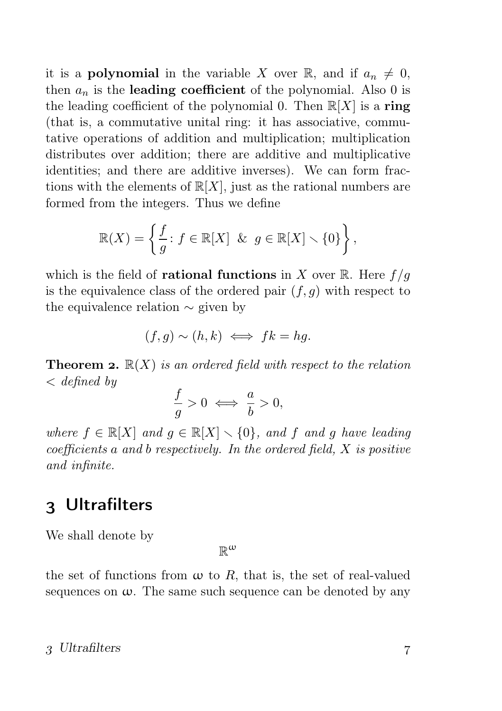it is a **polynomial** in the variable X over R, and if  $a_n \neq 0$ , then  $a_n$  is the leading coefficient of the polynomial. Also 0 is the leading coefficient of the polynomial 0. Then  $\mathbb{R}[X]$  is a ring (that is, a commutative unital ring: it has associative, commutative operations of addition and multiplication; multiplication distributes over addition; there are additive and multiplicative identities; and there are additive inverses). We can form fractions with the elements of  $\mathbb{R}[X]$ , just as the rational numbers are formed from the integers. Thus we define

$$
\mathbb{R}(X) = \left\{ \frac{f}{g} : f \in \mathbb{R}[X] \& g \in \mathbb{R}[X] \setminus \{0\} \right\},\
$$

which is the field of **rational functions** in X over R. Here  $f/g$ is the equivalence class of the ordered pair  $(f, q)$  with respect to the equivalence relation ∼ given by

$$
(f,g) \sim (h,k) \iff fk = hg.
$$

**Theorem 2.**  $\mathbb{R}(X)$  is an ordered field with respect to the relation  $\langle$  defined by

$$
\frac{f}{g} > 0 \iff \frac{a}{b} > 0,
$$

where  $f \in \mathbb{R}[X]$  and  $g \in \mathbb{R}[X] \setminus \{0\}$ , and f and g have leading  $coefficients \, a \, and \, b \, respectively.$  In the ordered field,  $X$  is positive and infinite.

### Ultrafilters

We shall denote by

 $\mathbb{R}^{\omega}$ 

the set of functions from  $\omega$  to R, that is, the set of real-valued sequences on  $\omega$ . The same such sequence can be denoted by any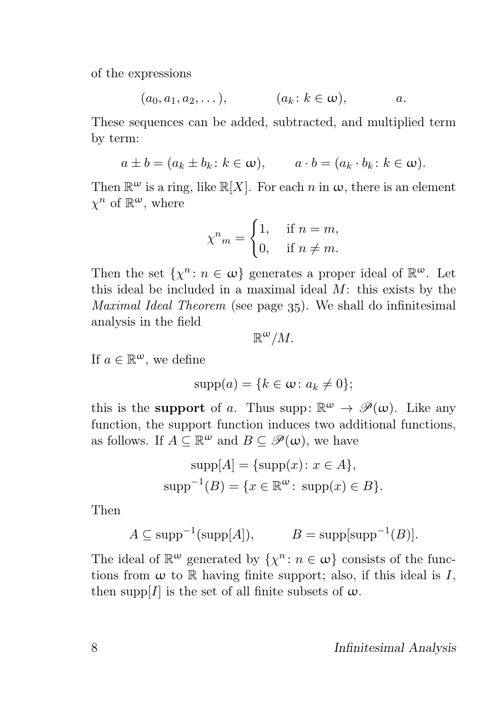of the expressions

$$
(a_0, a_1, a_2, \ldots), \qquad (a_k: k \in \omega), \qquad a.
$$

These sequences can be added, subtracted, and multiplied term by term:

$$
a \pm b = (a_k \pm b_k : k \in \omega), \qquad a \cdot b = (a_k \cdot b_k : k \in \omega).
$$

Then  $\mathbb{R}^{\omega}$  is a ring, like  $\mathbb{R}[X]$ . For each n in  $\omega$ , there is an element  $\chi^n$  of  $\mathbb{R}^{\omega}$ , where

$$
\chi^n{}_{m} = \begin{cases} 1, & \text{if } n = m, \\ 0, & \text{if } n \neq m. \end{cases}
$$

Then the set  $\{\chi^n : n \in \omega\}$  generates a proper ideal of  $\mathbb{R}^{\omega}$ . Let this ideal be included in a maximal ideal  $M$ : this exists by the *Maximal Ideal Theorem* (see page  $35$ ). We shall do infinitesimal analysis in the field

$$
\mathbb{R}^{\omega}/M.
$$

If  $a \in \mathbb{R}^{\omega}$ , we define

$$
supp(a) = \{k \in \omega \colon a_k \neq 0\};
$$

this is the **support** of a. Thus supp:  $\mathbb{R}^{\omega} \to \mathscr{P}(\omega)$ . Like any function, the support function induces two additional functions, as follows. If  $A \subseteq \mathbb{R}^{\omega}$  and  $B \subseteq \mathscr{P}(\omega)$ , we have

$$
supp[A] = {supp(x) : x \in A},
$$

$$
supp^{-1}(B) = {x \in \mathbb{R}^{\omega} : supp(x) \in B}.
$$

Then

$$
A \subseteq \text{supp}^{-1}(\text{supp}[A]), \qquad B = \text{supp}[\text{supp}^{-1}(B)].
$$

The ideal of  $\mathbb{R}^{\omega}$  generated by  $\{\chi^n : n \in \omega\}$  consists of the functions from  $\omega$  to  $\mathbb R$  having finite support; also, if this ideal is  $I$ , then supp $[I]$  is the set of all finite subsets of  $\omega$ .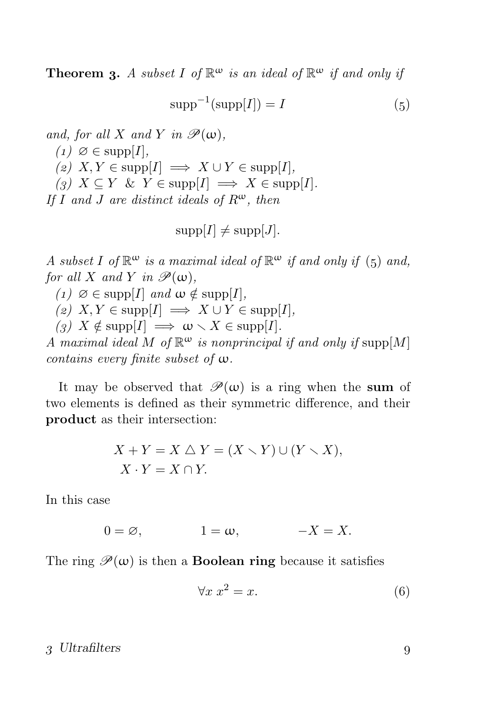**Theorem 3.** A subset I of  $\mathbb{R}^{\omega}$  is an ideal of  $\mathbb{R}^{\omega}$  if and only if

$$
supp^{-1}(supp[I]) = I \tag{5}
$$

and, for all X and Y in  $\mathscr{P}(\omega)$ ,  $(1)$   $\varnothing \in \mathrm{supp}[I],$ (2)  $X, Y \in \text{supp}[I] \implies X \cup Y \in \text{supp}[I],$ (3)  $X \subseteq Y \& Y \in \text{supp}[I] \implies X \in \text{supp}[I].$ If I and J are distinct ideals of  $R^{\omega}$ , then

$$
supp[I] \neq supp[J].
$$

A subset I of  $\mathbb{R}^{\omega}$  is a maximal ideal of  $\mathbb{R}^{\omega}$  if and only if (5) and, for all X and Y in  $\mathscr{P}(\omega)$ ,

(1)  $\varnothing \in \mathrm{supp}[I]$  and  $\omega \notin \mathrm{supp}[I],$ 

(2)  $X, Y \in \text{supp}[I] \implies X \cup Y \in \text{supp}[I],$ 

(3)  $X \notin \text{supp}[I] \implies \omega \setminus X \in \text{supp}[I].$ 

A maximal ideal M of  $\mathbb{R}^{\omega}$  is nonprincipal if and only if supp $[M]$ contains every finite subset of ω.

It may be observed that  $\mathscr{P}(\omega)$  is a ring when the sum of two elements is defined as their symmetric difference, and their product as their intersection:

$$
X + Y = X \triangle Y = (X \setminus Y) \cup (Y \setminus X),
$$
  

$$
X \cdot Y = X \cap Y.
$$

In this case

$$
0 = \varnothing, \qquad \qquad 1 = \omega, \qquad \qquad -X = X.
$$

The ring  $\mathscr{P}(\omega)$  is then a **Boolean ring** because it satisfies

$$
\forall x \ x^2 = x. \tag{6}
$$

#### 3 Ultrafilters 9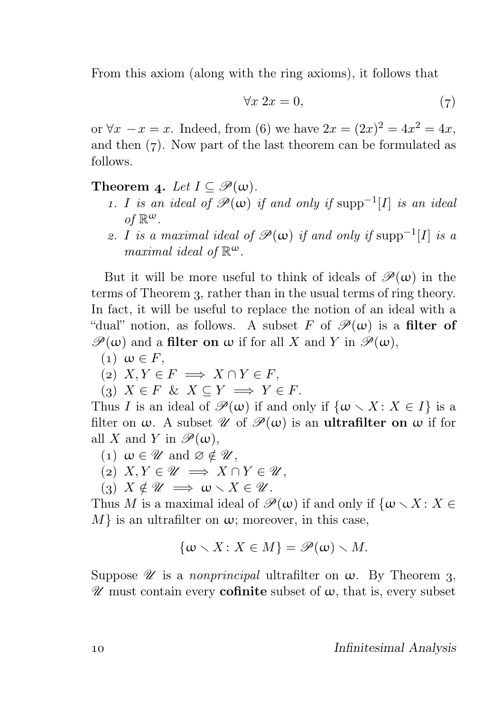From this axiom (along with the ring axioms), it follows that

$$
\forall x \ 2x = 0,\tag{7}
$$

or ∀x  $-x = x$ . Indeed, from (6) we have  $2x = (2x)^2 = 4x^2 = 4x$ , and then  $(7)$ . Now part of the last theorem can be formulated as follows.

#### Theorem 4. Let  $I \subseteq \mathscr{P}(\omega)$ .

- 1. I is an ideal of  $\mathscr{P}(\omega)$  if and only if  $\text{supp}^{-1}[I]$  is an ideal of  $\mathbb{R}^{\omega}$ .
- 2. I is a maximal ideal of  $\mathscr{P}(\omega)$  if and only if  $\text{supp}^{-1}[I]$  is a maximal ideal of  $\mathbb{R}^{\omega}$ .

But it will be more useful to think of ideals of  $\mathscr{P}(\omega)$  in the terms of Theorem 3, rather than in the usual terms of ring theory. In fact, it will be useful to replace the notion of an ideal with a "dual" notion, as follows. A subset F of  $\mathscr{P}(\omega)$  is a filter of  $\mathscr{P}(\omega)$  and a filter on  $\omega$  if for all X and Y in  $\mathscr{P}(\omega)$ ,

 $(1)$   $\omega \in F$ ,

$$
(2) X, Y \in F \implies X \cap Y \in F,
$$

(3)  $X \in F \& X \subseteq Y \implies Y \in F$ .

Thus I is an ideal of  $\mathscr{P}(\omega)$  if and only if  $\{\omega \setminus X : X \in I\}$  is a filter on  $\omega$ . A subset  $\mathscr{U}$  of  $\mathscr{P}(\omega)$  is an **ultrafilter on**  $\omega$  if for all X and Y in  $\mathscr{P}(\omega)$ ,

- (1)  $\omega \in \mathscr{U}$  and  $\varnothing \notin \mathscr{U}$ ,
- (2)  $X, Y \in \mathscr{U} \implies X \cap Y \in \mathscr{U}$ ,
- (3)  $X \notin \mathscr{U} \implies \omega \setminus X \in \mathscr{U}$ .

Thus M is a maximal ideal of  $\mathscr{P}(\omega)$  if and only if  $\{\omega \setminus X : X \in$  $M$  is an ultrafilter on  $\omega$ ; moreover, in this case,

$$
\{\omega \smallsetminus X \colon X \in M\} = \mathscr{P}(\omega) \smallsetminus M.
$$

Suppose  $\mathscr U$  is a *nonprincipal* ultrafilter on  $\omega$ . By Theorem 3,  $\mathscr U$  must contain every **cofinite** subset of  $\omega$ , that is, every subset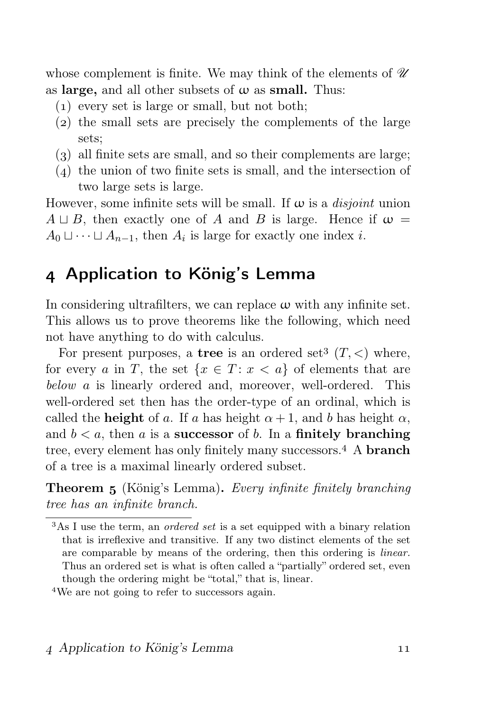whose complement is finite. We may think of the elements of  $\mathcal U$ as large, and all other subsets of  $\omega$  as small. Thus:

- $(1)$  every set is large or small, but not both;
- $(2)$  the small sets are precisely the complements of the large sets;
- $(3)$  all finite sets are small, and so their complements are large;
- $(4)$  the union of two finite sets is small, and the intersection of two large sets is large.

However, some infinite sets will be small. If  $\omega$  is a *disjoint* union  $A \sqcup B$ , then exactly one of A and B is large. Hence if  $\omega =$  $A_0 \sqcup \cdots \sqcup A_{n-1}$ , then  $A_i$  is large for exactly one index *i*.

### Application to König's Lemma

In considering ultrafilters, we can replace  $\omega$  with any infinite set. This allows us to prove theorems like the following, which need not have anything to do with calculus.

For present purposes, a tree is an ordered set<sup>3</sup>  $(T, <)$  where, for every a in T, the set  $\{x \in T : x < a\}$  of elements that are below a is linearly ordered and, moreover, well-ordered. This well-ordered set then has the order-type of an ordinal, which is called the **height** of a. If a has height  $\alpha + 1$ , and b has height  $\alpha$ . and  $b < a$ , then a is a **successor** of b. In a **finitely branching** tree, every element has only finitely many successors.<sup>4</sup> A **branch** of a tree is a maximal linearly ordered subset.

**Theorem 5** (König's Lemma). Every infinite finitely branching tree has an infinite branch.

We are not going to refer to successors again.

<sup>&</sup>lt;sup>3</sup>As I use the term, an *ordered set* is a set equipped with a binary relation that is irreflexive and transitive. If any two distinct elements of the set are comparable by means of the ordering, then this ordering is linear. Thus an ordered set is what is often called a "partially" ordered set, even though the ordering might be "total," that is, linear.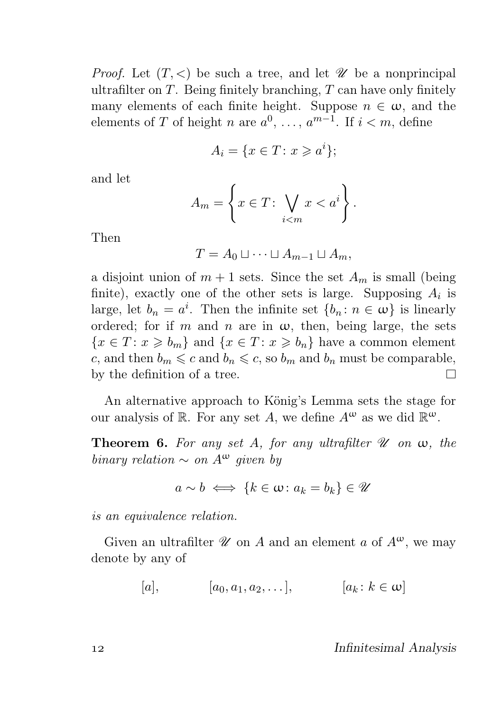*Proof.* Let  $(T, \leq)$  be such a tree, and let  $\mathscr U$  be a nonprincipal ultrafilter on  $T$ . Being finitely branching,  $T$  can have only finitely many elements of each finite height. Suppose  $n \in \omega$ , and the elements of T of height n are  $a^0, \ldots, a^{m-1}$ . If  $i < m$ , define

$$
A_i = \{ x \in T \colon x \geqslant a^i \};
$$

and let

$$
A_m = \left\{ x \in T \colon \bigvee_{i < m} x < a^i \right\}.
$$

Then

$$
T = A_0 \sqcup \cdots \sqcup A_{m-1} \sqcup A_m,
$$

a disjoint union of  $m + 1$  sets. Since the set  $A_m$  is small (being finite), exactly one of the other sets is large. Supposing  $A_i$  is large, let  $b_n = a^i$ . Then the infinite set  $\{b_n : n \in \omega\}$  is linearly ordered; for if m and n are in  $\omega$ , then, being large, the sets  ${x \in T : x \geq b_m}$  and  ${x \in T : x \geq b_n}$  have a common element c, and then  $b_m \leq c$  and  $b_n \leq c$ , so  $b_m$  and  $b_n$  must be comparable, by the definition of a tree. П

An alternative approach to König's Lemma sets the stage for our analysis of R. For any set A, we define  $A^{\omega}$  as we did  $\mathbb{R}^{\omega}$ .

**Theorem 6.** For any set A, for any ultrafilter  $\mathcal U$  on  $\omega$ , the binary relation  $\sim$  on  $A^{\omega}$  given by

$$
a \sim b \iff \{k \in \omega \colon a_k = b_k\} \in \mathcal{U}
$$

is an equivalence relation.

Given an ultrafilter  $\mathscr U$  on A and an element a of  $A^{\omega}$ , we may denote by any of

[a],  $[a_0, a_1, a_2, \ldots], \qquad [a_k : k \in \omega]$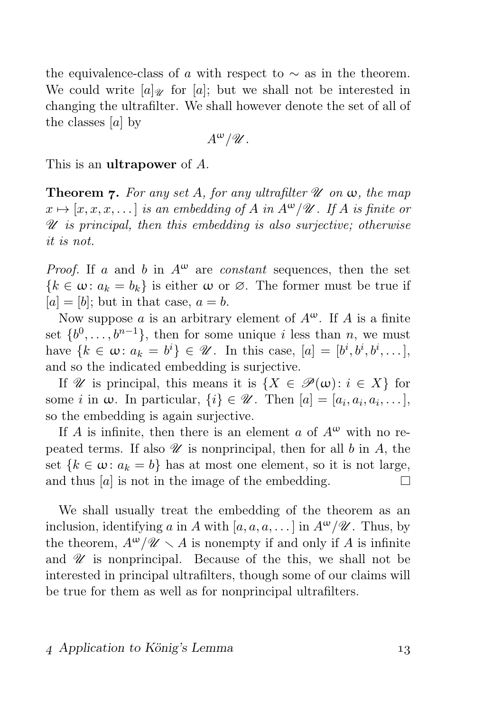the equivalence-class of a with respect to  $\sim$  as in the theorem. We could write  $[a]_{\mathcal{U}}$  for  $[a]$ ; but we shall not be interested in changing the ultrafilter. We shall however denote the set of all of the classes [a] by

$$
A^{\omega}/\mathscr{U}.
$$

This is an ultrapower of A.

**Theorem 7.** For any set A, for any ultrafilter  $\mathcal U$  on  $\omega$ , the map  $x \mapsto [x, x, x, \dots]$  is an embedding of A in  $A^{\omega}/\mathscr{U}$ . If A is finite or  $\mathscr U$  is principal, then this embedding is also surjective; otherwise it is not.

*Proof.* If a and b in  $A^{\omega}$  are *constant* sequences, then the set  ${k \in \omega : a_k = b_k}$  is either  $\omega$  or  $\varnothing$ . The former must be true if  $[a] = [b]$ ; but in that case,  $a = b$ .

Now suppose a is an arbitrary element of  $A^{\omega}$ . If A is a finite set  $\{b^0, \ldots, b^{n-1}\}$ , then for some unique i less than n, we must have  $\{k \in \omega: a_k = b^i\} \in \mathcal{U}$ . In this case,  $[a] = [b^i, b^i, b^i, \dots]$ , and so the indicated embedding is surjective.

If W is principal, this means it is  $\{X \in \mathcal{P}(\omega): i \in X\}$  for some *i* in  $\omega$ . In particular,  $\{i\} \in \mathcal{U}$ . Then  $[a] = [a_i, a_i, a_i, \dots]$ , so the embedding is again surjective.

If A is infinite, then there is an element a of  $A^{\omega}$  with no repeated terms. If also  $\mathcal U$  is nonprincipal, then for all b in A, the set  $\{k \in \omega : a_k = b\}$  has at most one element, so it is not large, and thus  $[a]$  is not in the image of the embedding.  $\Box$ 

We shall usually treat the embedding of the theorem as an inclusion, identifying a in A with  $[a, a, a, \dots]$  in  $A^{\omega}/\mathscr{U}$ . Thus, by the theorem,  $A^{\omega}/\mathscr{U} \setminus A$  is nonempty if and only if A is infinite and  $\mathscr U$  is nonprincipal. Because of the this, we shall not be interested in principal ultrafilters, though some of our claims will be true for them as well as for nonprincipal ultrafilters.

#### Application to König's Lemma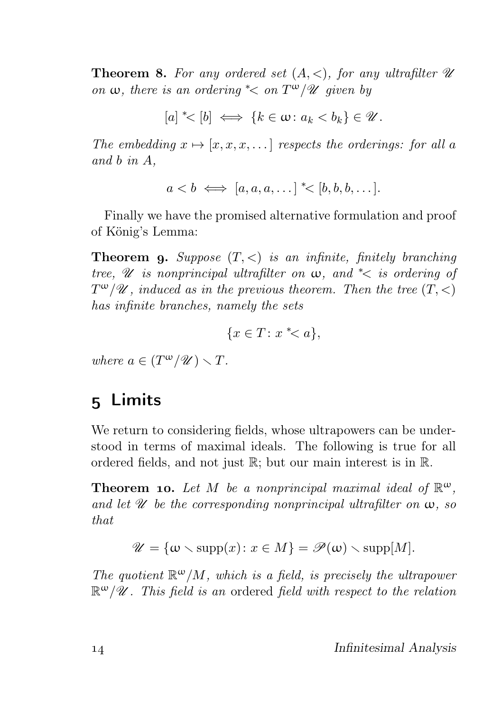**Theorem 8.** For any ordered set  $(A, \leq)$ , for any ultrafilter  $\mathscr U$ on  $\omega$ , there is an ordering  $\text{K}$  on  $T^{\omega}/\mathcal{U}$  given by

 $[a] \leq [b] \iff \{k \in \omega \colon a_k < b_k\} \in \mathcal{U}.$ 

The embedding  $x \mapsto [x, x, x, \dots]$  respects the orderings: for all a and b in A,

$$
a < b \iff [a, a, a, \dots] \le [b, b, b, \dots].
$$

Finally we have the promised alternative formulation and proof of König's Lemma:

**Theorem 9.** Suppose  $(T, \leq)$  is an infinite, finitely branching tree,  $\mathscr U$  is nonprincipal ultrafilter on  $\omega$ , and  $\leq$  is ordering of  $T^{\omega}/\mathscr{U}$ , induced as in the previous theorem. Then the tree  $(T, <)$ has infinite branches, namely the sets

$$
\{x \in T \colon x \mathrel{*} < a\},
$$

where  $a \in (T^{\omega}/\mathscr{U}) \setminus T$ .

## 5 Limits

We return to considering fields, whose ultrapowers can be understood in terms of maximal ideals. The following is true for all ordered fields, and not just R; but our main interest is in R.

**Theorem 10.** Let M be a nonprincipal maximal ideal of  $\mathbb{R}^{\omega}$ , and let  $\mathscr U$  be the corresponding nonprincipal ultrafilter on  $\omega$ , so that

$$
\mathscr{U} = \{ \omega \setminus \mathrm{supp}(x) \colon x \in M \} = \mathscr{P}(\omega) \setminus \mathrm{supp}[M].
$$

The quotient  $\mathbb{R}^{\omega}/M$ , which is a field, is precisely the ultrapower  $\mathbb{R}^{\omega}/\mathscr{U}$ . This field is an ordered field with respect to the relation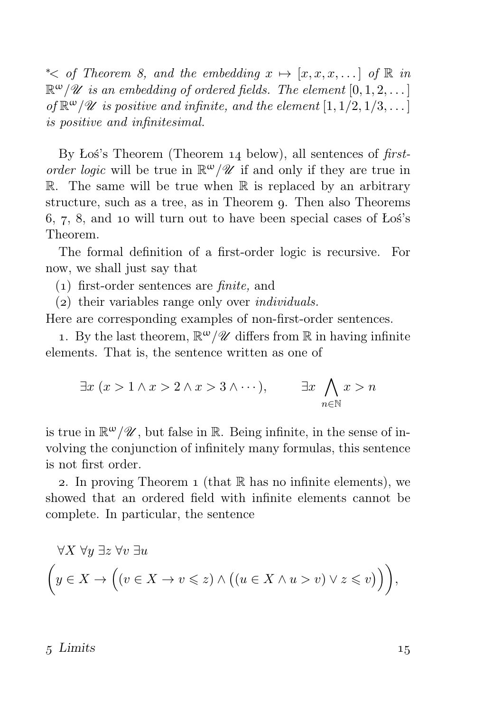$\star$  ≤ of Theorem 8, and the embedding  $x \mapsto [x, x, x, \dots]$  of R in  $\mathbb{R}^{\omega}/\mathscr{U}$  is an embedding of ordered fields. The element  $[0,1,2,\ldots]$ of  $\mathbb{R}^{\omega}/\mathscr{U}$  is positive and infinite, and the element  $[1, 1/2, 1/3, \ldots]$ is positive and infinitesimal.

By Łoś's Theorem (Theorem  $14$  below), all sentences of firstorder logic will be true in  $\mathbb{R}^{\omega}/\mathscr{U}$  if and only if they are true in  $\mathbb R$ . The same will be true when  $\mathbb R$  is replaced by an arbitrary structure, such as a tree, as in Theorem q. Then also Theorems  $6, 7, 8$ , and 10 will turn out to have been special cases of Łoś's Theorem.

The formal definition of a first-order logic is recursive. For now, we shall just say that

- () first-order sentences are finite, and
- $(z)$  their variables range only over *individuals*.

Here are corresponding examples of non-first-order sentences.

1. By the last theorem,  $\mathbb{R}^{\omega}/\mathscr{U}$  differs from  $\mathbb R$  in having infinite elements. That is, the sentence written as one of

$$
\exists x \ (x > 1 \land x > 2 \land x > 3 \land \cdots), \qquad \exists x \bigwedge_{n \in \mathbb{N}} x > n
$$

is true in  $\mathbb{R}^{\omega}/\mathscr{U}$ , but false in  $\mathbb{R}$ . Being infinite, in the sense of involving the conjunction of infinitely many formulas, this sentence is not first order.

2. In proving Theorem 1 (that  $\mathbb R$  has no infinite elements), we showed that an ordered field with infinite elements cannot be complete. In particular, the sentence

$$
\forall X \ \forall y \ \exists z \ \forall v \ \exists u
$$
  

$$
\left(y \in X \to \left((v \in X \to v \leq z) \land \left((u \in X \land u > v) \lor z \leq v\right)\right)\right),
$$

#### $5 \text{ Limits}$  15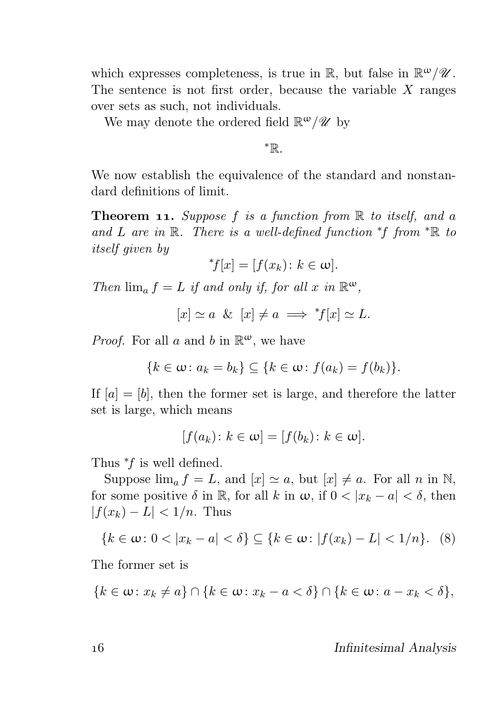which expresses completeness, is true in  $\mathbb{R}$ , but false in  $\mathbb{R}^{\omega}/\mathscr{U}$ . The sentence is not first order, because the variable  $X$  ranges over sets as such, not individuals.

We may denote the ordered field  $\mathbb{R}^{\omega}/\mathscr{U}$  by

<sup>∗</sup>R.

We now establish the equivalence of the standard and nonstandard definitions of limit.

**Theorem 11.** Suppose f is a function from  $\mathbb R$  to itself, and a and L are in R. There is a well-defined function \*f from \*R to itself given by

$$
^*f[x] = [f(x_k) \colon k \in \omega].
$$

Then  $\lim_{a} f = L$  if and only if, for all x in  $\mathbb{R}^{\omega}$ ,

 $[x] \simeq a \& [x] \neq a \implies {}^*f[x] \simeq L.$ 

*Proof.* For all a and b in  $\mathbb{R}^{\omega}$ , we have

$$
\{k \in \omega \colon a_k = b_k\} \subseteq \{k \in \omega \colon f(a_k) = f(b_k)\}.
$$

If  $[a] = [b]$ , then the former set is large, and therefore the latter set is large, which means

$$
[f(a_k): k \in \omega] = [f(b_k): k \in \omega].
$$

Thus  $*f$  is well defined.

Suppose  $\lim_{a} f = L$ , and  $[x] \simeq a$ , but  $[x] \neq a$ . For all n in N, for some positive  $\delta$  in R, for all k in  $\omega$ , if  $0 < |x_k - a| < \delta$ , then  $|f(x_k) - L| < 1/n$ . Thus

$$
\{k \in \omega : 0 < |x_k - a| < \delta\} \subseteq \{k \in \omega : |f(x_k) - L| < 1/n\}.\tag{8}
$$

The former set is

$$
\{k \in \omega \colon x_k \neq a\} \cap \{k \in \omega \colon x_k - a < \delta\} \cap \{k \in \omega \colon a - x_k < \delta\},\
$$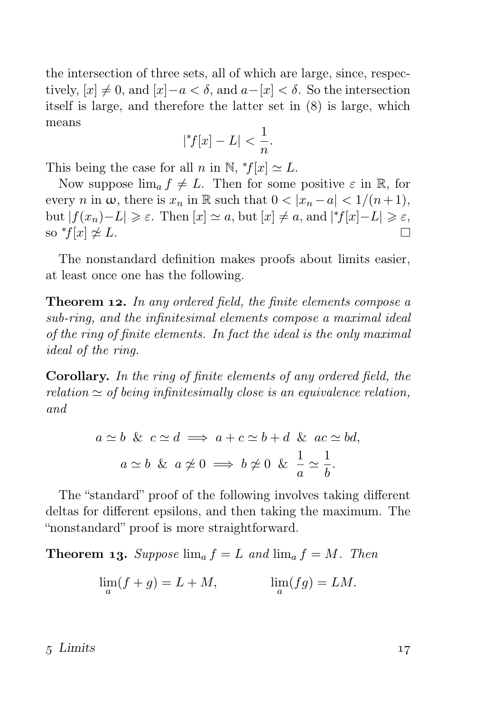the intersection of three sets, all of which are large, since, respectively,  $[x] \neq 0$ , and  $[x]-a < \delta$ , and  $a-[x] < \delta$ . So the intersection itself is large, and therefore the latter set in  $(8)$  is large, which means

$$
|{}^*f[x] - L| < \frac{1}{n}.
$$

This being the case for all *n* in N,  $f[x] \simeq L$ .

Now suppose  $\lim_{a} f \neq L$ . Then for some positive  $\varepsilon$  in R, for every n in  $\omega$ , there is  $x_n$  in R such that  $0 < |x_n - a| < 1/(n+1)$ , but  $|f(x_n)-L| \geq \varepsilon$ . Then  $[x] \simeq a$ , but  $[x] \neq a$ , and  $|f[x]-L| \geq \varepsilon$ , so  $*f[x] \not\cong L$ .  $\Box$ 

The nonstandard definition makes proofs about limits easier, at least once one has the following.

**Theorem 12.** In any ordered field, the finite elements compose a sub-ring, and the infinitesimal elements compose a maximal ideal of the ring of finite elements. In fact the ideal is the only maximal ideal of the ring.

Corollary. In the ring of finite elements of any ordered field, the relation  $\simeq$  of being infinitesimally close is an equivalence relation, and

$$
a \simeq b \And c \simeq d \implies a + c \simeq b + d \And ac \simeq bd,
$$
  

$$
a \simeq b \And a \ncong 0 \implies b \ncong 0 \And \frac{1}{a} \simeq \frac{1}{b}.
$$

The "standard" proof of the following involves taking different deltas for different epsilons, and then taking the maximum. The "nonstandard" proof is more straightforward.

**Theorem 13.** Suppose  $\lim_{a} f = L$  and  $\lim_{a} f = M$ . Then

$$
\lim_{a}(f+g) = L + M, \qquad \lim_{a}(fg) = LM.
$$

 $5 \text{ Limits}$   $17$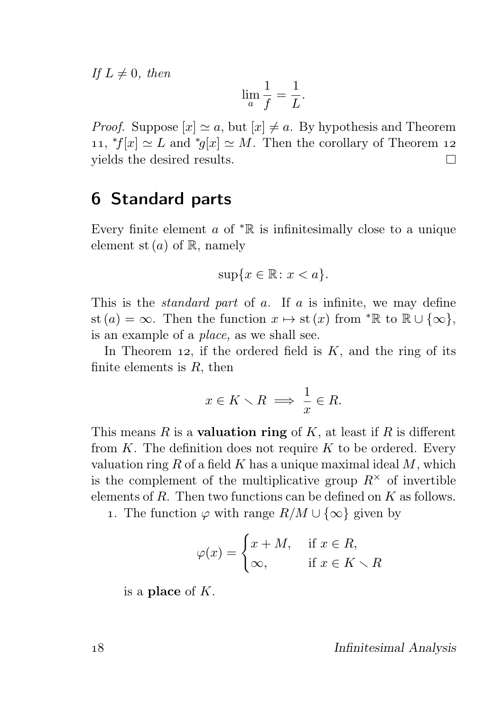If  $L \neq 0$ , then

$$
\lim_a \frac{1}{f} = \frac{1}{L}.
$$

*Proof.* Suppose  $[x] \simeq a$ , but  $[x] \neq a$ . By hypothesis and Theorem 11,  $*f[x] \simeq L$  and  $*f[x] \simeq M$ . Then the corollary of Theorem 12 yields the desired results.  $\Box$ 

### **6 Standard parts**

Every finite element  $a$  of  $* \mathbb{R}$  is infinitesimally close to a unique element st  $(a)$  of  $\mathbb{R}$ , namely

$$
\sup\{x \in \mathbb{R} \colon x < a\}.
$$

This is the *standard part* of a. If a is infinite, we may define st (a) = ∞. Then the function  $x \mapsto$  st (x) from  $*\mathbb{R}$  to  $\mathbb{R} \cup \{\infty\},\$ is an example of a place, as we shall see.

In Theorem 12, if the ordered field is  $K$ , and the ring of its finite elements is  $R$ , then

$$
x \in K \smallsetminus R \implies \frac{1}{x} \in R.
$$

This means R is a **valuation ring** of K, at least if R is different from  $K$ . The definition does not require  $K$  to be ordered. Every valuation ring R of a field K has a unique maximal ideal  $M$ , which is the complement of the multiplicative group  $R^{\times}$  of invertible elements of  $R$ . Then two functions can be defined on  $K$  as follows.

1. The function  $\varphi$  with range  $R/M \cup {\infty}$  given by

$$
\varphi(x) = \begin{cases} x + M, & \text{if } x \in R, \\ \infty, & \text{if } x \in K \setminus R \end{cases}
$$

is a place of  $K$ .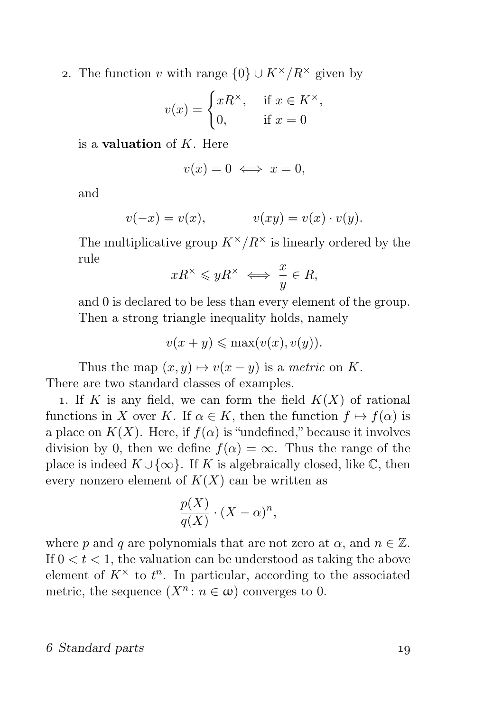2. The function v with range  $\{0\} \cup K^{\times}/R^{\times}$  given by

$$
v(x) = \begin{cases} xR^{\times}, & \text{if } x \in K^{\times}, \\ 0, & \text{if } x = 0 \end{cases}
$$

is a **valuation** of  $K$ . Here

$$
v(x) = 0 \iff x = 0,
$$

and

$$
v(-x) = v(x), \qquad \qquad v(xy) = v(x) \cdot v(y).
$$

The multiplicative group  $K^{\times}/R^{\times}$  is linearly ordered by the rule

$$
xR^{\times} \leqslant yR^{\times} \iff \frac{x}{y} \in R,
$$

and 0 is declared to be less than every element of the group. Then a strong triangle inequality holds, namely

 $v(x + y) \leq \max(v(x), v(y)).$ 

Thus the map  $(x, y) \mapsto v(x - y)$  is a metric on K. There are two standard classes of examples.

1. If K is any field, we can form the field  $K(X)$  of rational functions in X over K. If  $\alpha \in K$ , then the function  $f \mapsto f(\alpha)$  is a place on  $K(X)$ . Here, if  $f(\alpha)$  is "undefined," because it involves division by 0, then we define  $f(\alpha) = \infty$ . Thus the range of the place is indeed  $K \cup \{\infty\}$ . If K is algebraically closed, like  $\mathbb{C}$ , then every nonzero element of  $K(X)$  can be written as

$$
\frac{p(X)}{q(X)} \cdot (X - \alpha)^n,
$$

where p and q are polynomials that are not zero at  $\alpha$ , and  $n \in \mathbb{Z}$ . If  $0 < t < 1$ , the valuation can be understood as taking the above element of  $K^{\times}$  to  $t^{n}$ . In particular, according to the associated metric, the sequence  $(X^n : n \in \omega)$  converges to 0.

#### Standard parts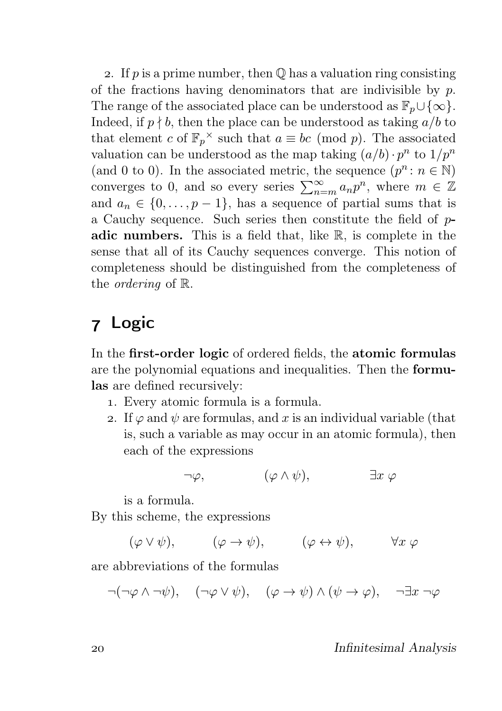2. If p is a prime number, then  $\mathbb O$  has a valuation ring consisting of the fractions having denominators that are indivisible by  $p$ . The range of the associated place can be understood as  $\mathbb{F}_p \cup \{\infty\}.$ Indeed, if  $p \nmid b$ , then the place can be understood as taking  $a/b$  to that element c of  $\mathbb{F}_p^{\times}$  such that  $a \equiv bc \pmod{p}$ . The associated valuation can be understood as the map taking  $(a/b) \cdot p^n$  to  $1/p^n$ (and 0 to 0). In the associated metric, the sequence  $(p^n : n \in \mathbb{N})$ converges to 0, and so every series  $\sum_{n=m}^{\infty} a_n p^n$ , where  $m \in \mathbb{Z}$ and  $a_n \in \{0, \ldots, p-1\}$ , has a sequence of partial sums that is a Cauchy sequence. Such series then constitute the field of padic numbers. This is a field that, like  $\mathbb{R}$ , is complete in the sense that all of its Cauchy sequences converge. This notion of completeness should be distinguished from the completeness of the ordering of R.

# Logic

In the first-order logic of ordered fields, the atomic formulas are the polynomial equations and inequalities. Then the formulas are defined recursively:

- . Every atomic formula is a formula.
- 2. If  $\varphi$  and  $\psi$  are formulas, and x is an individual variable (that is, such a variable as may occur in an atomic formula), then each of the expressions

$$
\neg \varphi, \qquad \qquad (\varphi \wedge \psi), \qquad \qquad \exists x \varphi
$$

is a formula.

By this scheme, the expressions

 $(\varphi \vee \psi), \qquad (\varphi \rightarrow \psi), \qquad (\varphi \leftrightarrow \psi), \qquad \forall x \varphi$ 

are abbreviations of the formulas

$$
\neg(\neg \varphi \land \neg \psi), \quad (\neg \varphi \lor \psi), \quad (\varphi \to \psi) \land (\psi \to \varphi), \quad \neg \exists x \neg \varphi
$$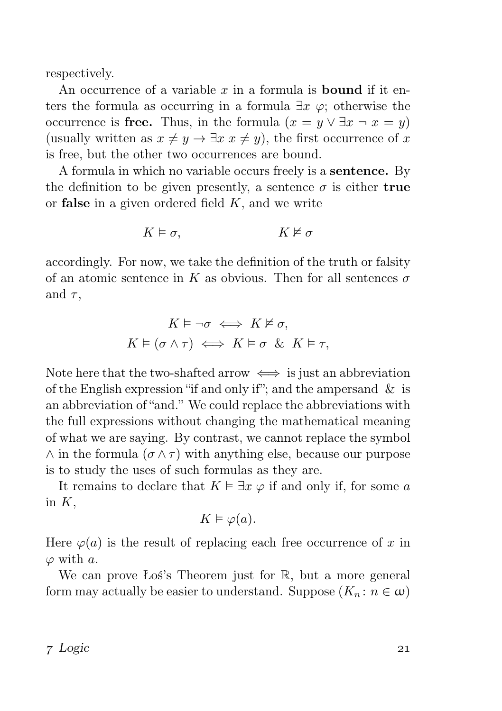respectively.

An occurrence of a variable x in a formula is **bound** if it enters the formula as occurring in a formula  $\exists x \varphi$ ; otherwise the occurrence is free. Thus, in the formula  $(x = y \lor \exists x \neg x = y)$ (usually written as  $x \neq y \rightarrow \exists x \ x \neq y$ ), the first occurrence of x is free, but the other two occurrences are bound.

A formula in which no variable occurs freely is a sentence. By the definition to be given presently, a sentence  $\sigma$  is either true or **false** in a given ordered field  $K$ , and we write

$$
K \vDash \sigma, \qquad K \nvDash \sigma
$$

accordingly. For now, we take the definition of the truth or falsity of an atomic sentence in K as obvious. Then for all sentences  $\sigma$ and  $\tau$ .

$$
K\vDash\neg\sigma\iff K\nvDash\sigma,
$$
  

$$
K\vDash(\sigma\wedge\tau)\iff K\vDash\sigma\ \&\ K\vDash\tau,
$$

Note here that the two-shafted arrow  $\iff$  is just an abbreviation of the English expression "if and only if"; and the ampersand  $\&$  is an abbreviation of "and." We could replace the abbreviations with the full expressions without changing the mathematical meaning of what we are saying. By contrast, we cannot replace the symbol  $\wedge$  in the formula  $(\sigma \wedge \tau)$  with anything else, because our purpose is to study the uses of such formulas as they are.

It remains to declare that  $K \models \exists x \varphi$  if and only if, for some a in  $K$ ,

$$
K \vDash \varphi(a).
$$

Here  $\varphi(a)$  is the result of replacing each free occurrence of x in  $\varphi$  with a.

We can prove Łoś's Theorem just for  $\mathbb{R}$ , but a more general form may actually be easier to understand. Suppose  $(K_n: n \in \omega)$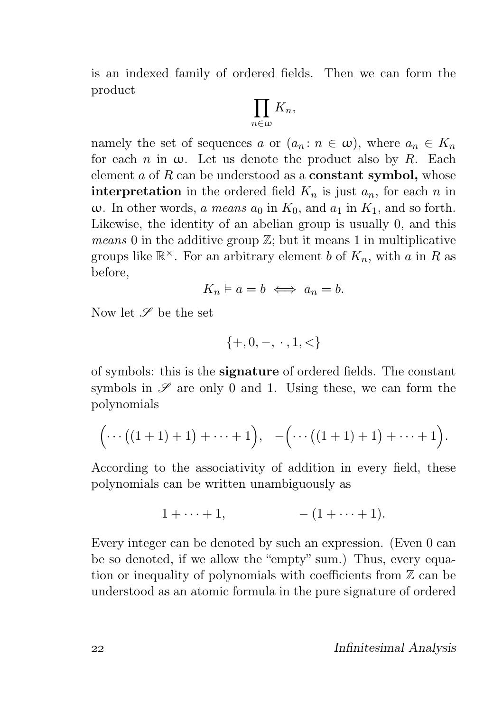is an indexed family of ordered fields. Then we can form the product

$$
\prod_{n\in\omega}K_n,
$$

namely the set of sequences a or  $(a_n : n \in \omega)$ , where  $a_n \in K_n$ for each n in  $\omega$ . Let us denote the product also by R. Each element  $a$  of  $R$  can be understood as a **constant symbol**, whose **interpretation** in the ordered field  $K_n$  is just  $a_n$ , for each n in ω. In other words, *a means*  $a_0$  in  $K_0$ , and  $a_1$  in  $K_1$ , and so forth. Likewise, the identity of an abelian group is usually 0, and this *means* 0 in the additive group  $\mathbb{Z}$ ; but it means 1 in multiplicative groups like  $\mathbb{R}^{\times}$ . For an arbitrary element b of  $K_n$ , with a in R as before,

$$
K_n\vDash a=b\iff a_n=b.
$$

Now let  $\mathscr S$  be the set

$$
\{+,0,-, \ \cdot \ ,1,<\}
$$

of symbols: this is the signature of ordered fields. The constant symbols in  $\mathscr S$  are only 0 and 1. Using these, we can form the polynomials

$$
\Big(\cdots\big((1+1)+1\big)+\cdots+1\Big),\quad -\Big(\cdots\big((1+1)+1\big)+\cdots+1\Big).
$$

According to the associativity of addition in every field, these polynomials can be written unambiguously as

$$
1 + \cdots + 1, \qquad \qquad -(1 + \cdots + 1).
$$

Every integer can be denoted by such an expression. (Even 0 can be so denoted, if we allow the "empty" sum.) Thus, every equation or inequality of polynomials with coefficients from  $\mathbb Z$  can be understood as an atomic formula in the pure signature of ordered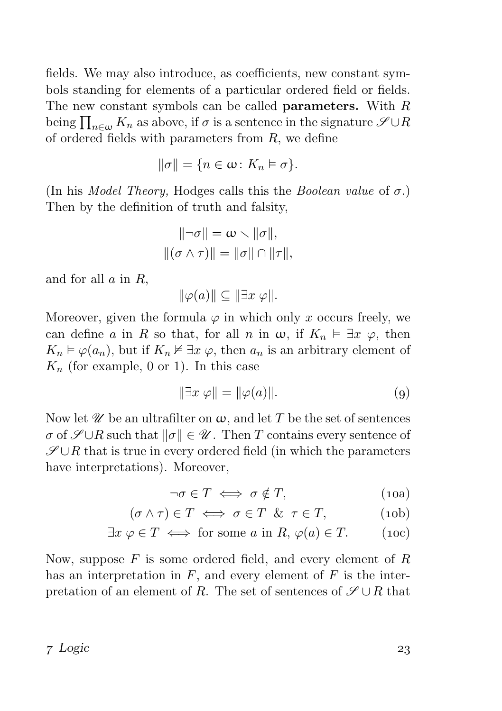fields. We may also introduce, as coefficients, new constant symbols standing for elements of a particular ordered field or fields. The new constant symbols can be called parameters. With R being  $\prod_{n\in\omega} K_n$  as above, if  $\sigma$  is a sentence in the signature  $\mathscr{S} \cup R$ of ordered fields with parameters from  $R$ , we define

$$
\|\sigma\| = \{n \in \omega \colon K_n \models \sigma\}.
$$

(In his *Model Theory*, Hodges calls this the *Boolean value* of  $\sigma$ .) Then by the definition of truth and falsity,

$$
\|\neg \sigma\| = \omega \smallsetminus \|\sigma\|,
$$
  

$$
\|(\sigma \land \tau)\| = \|\sigma\| \cap \|\tau\|,
$$

and for all  $a$  in  $R$ ,

 $\|\varphi(a)\| \subseteq \|\exists x \varphi\|.$ 

Moreover, given the formula  $\varphi$  in which only x occurs freely, we can define a in R so that, for all n in  $\omega$ , if  $K_n \vDash \exists x \varphi$ , then  $K_n \models \varphi(a_n)$ , but if  $K_n \not\vDash \exists x \varphi$ , then  $a_n$  is an arbitrary element of  $K_n$  (for example, 0 or 1). In this case

$$
\|\exists x \ \varphi\| = \|\varphi(a)\|.\tag{9}
$$

Now let  $\mathscr U$  be an ultrafilter on  $\omega$ , and let T be the set of sentences  $\sigma$  of  $\mathscr{S} \cup R$  such that  $\|\sigma\| \in \mathscr{U}$ . Then T contains every sentence of  $\mathscr{S} \cup R$  that is true in every ordered field (in which the parameters have interpretations). Moreover,

$$
\neg \sigma \in T \iff \sigma \notin T,
$$
\n(10a)

$$
(\sigma \wedge \tau) \in T \iff \sigma \in T \& \tau \in T,
$$
 (10b)

$$
\exists x \ \varphi \in T \iff \text{for some } a \text{ in } R, \ \varphi(a) \in T. \tag{10c}
$$

Now, suppose  $F$  is some ordered field, and every element of  $R$ has an interpretation in  $F$ , and every element of  $F$  is the interpretation of an element of R. The set of sentences of  $\mathscr{S} \cup R$  that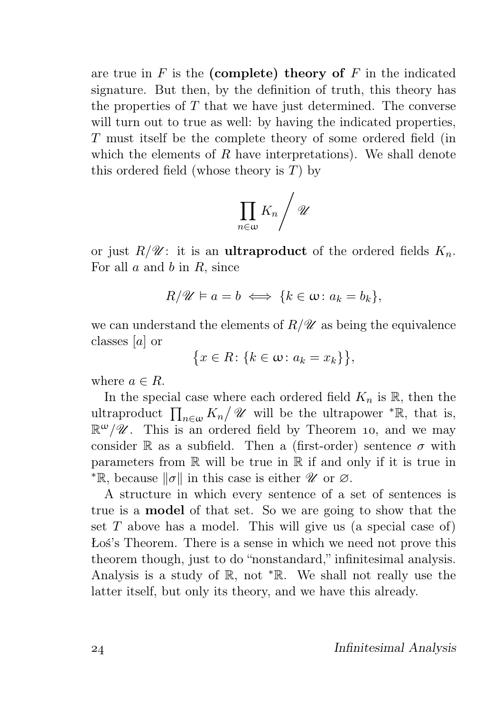are true in  $F$  is the (complete) theory of  $F$  in the indicated signature. But then, by the definition of truth, this theory has the properties of  $T$  that we have just determined. The converse will turn out to true as well: by having the indicated properties, T must itself be the complete theory of some ordered field (in which the elements of R have interpretations). We shall denote this ordered field (whose theory is  $T$ ) by

$$
\prod_{n\in\omega}K_n\Bigg/\mathscr U
$$

or just  $R/\mathscr{U}$ : it is an **ultraproduct** of the ordered fields  $K_n$ . For all  $a$  and  $b$  in  $R$ , since

$$
R/\mathscr{U}\vDash a=b\iff\{k\in\omega\colon a_k=b_k\},\
$$

we can understand the elements of  $R/\mathscr{U}$  as being the equivalence classes [a] or

$$
\{x \in R \colon \{k \in \omega \colon a_k = x_k\}\},\
$$

where  $a \in R$ .

In the special case where each ordered field  $K_n$  is  $\mathbb{R}$ , then the ultraproduct  $\prod_{n\in\omega} K_n/\mathscr{U}$  will be the ultrapower  $^{\ast}\mathbb{R}$ , that is,  $\mathbb{R}^{\omega}/\mathscr{U}$ . This is an ordered field by Theorem 10, and we may consider R as a subfield. Then a (first-order) sentence  $\sigma$  with parameters from  $\mathbb R$  will be true in  $\mathbb R$  if and only if it is true in <sup>∗</sup>R, because  $\|\sigma\|$  in this case is either *U* or ∅.

A structure in which every sentence of a set of sentences is true is a model of that set. So we are going to show that the set  $T$  above has a model. This will give us (a special case of) Łoś's Theorem. There is a sense in which we need not prove this theorem though, just to do "nonstandard," infinitesimal analysis. Analysis is a study of R, not <sup>∗</sup>R. We shall not really use the latter itself, but only its theory, and we have this already.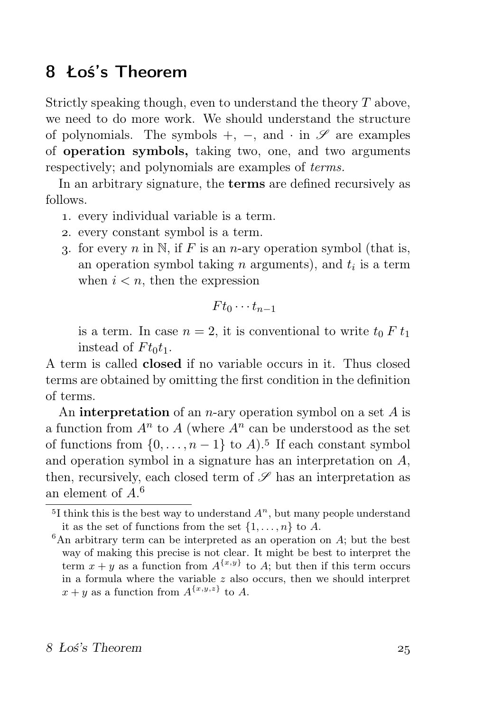### Łoś's Theorem

Strictly speaking though, even to understand the theory T above, we need to do more work. We should understand the structure of polynomials. The symbols  $+$ ,  $-$ , and  $\cdot$  in  $\mathscr S$  are examples of operation symbols, taking two, one, and two arguments respectively; and polynomials are examples of terms.

In an arbitrary signature, the terms are defined recursively as follows.

- . every individual variable is a term.
- . every constant symbol is a term.
- 3. for every n in N, if F is an n-ary operation symbol (that is, an operation symbol taking  $n$  arguments), and  $t_i$  is a term when  $i < n$ , then the expression

$$
F t_0 \cdots t_{n-1}
$$

is a term. In case  $n = 2$ , it is conventional to write  $t_0 F t_1$ instead of  $F t_0 t_1$ .

A term is called closed if no variable occurs in it. Thus closed terms are obtained by omitting the first condition in the definition of terms.

An **interpretation** of an *n*-ary operation symbol on a set  $A$  is a function from  $A<sup>n</sup>$  to A (where  $A<sup>n</sup>$  can be understood as the set of functions from  $\{0, \ldots, n-1\}$  to  $A$ ).<sup>5</sup> If each constant symbol and operation symbol in a signature has an interpretation on A, then, recursively, each closed term of  $\mathscr S$  has an interpretation as an element of  $A<sup>6</sup>$ 

<sup>&</sup>lt;sup>5</sup>I think this is the best way to understand  $A<sup>n</sup>$ , but many people understand it as the set of functions from the set  $\{1, \ldots, n\}$  to A.

 ${}^{6}$ An arbitrary term can be interpreted as an operation on  $A$ ; but the best way of making this precise is not clear. It might be best to interpret the term  $x + y$  as a function from  $A^{\{x,y\}}$  to A; but then if this term occurs in a formula where the variable  $z$  also occurs, then we should interpret  $x + y$  as a function from  $A^{\{x,y,z\}}$  to A.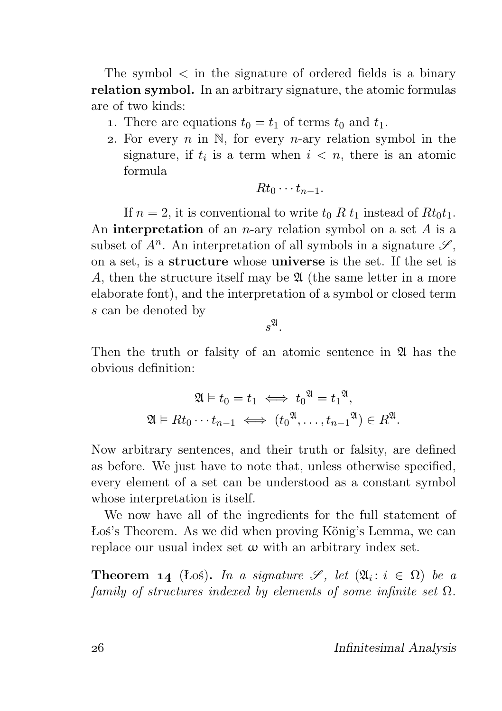The symbol  $\lt$  in the signature of ordered fields is a binary relation symbol. In an arbitrary signature, the atomic formulas are of two kinds:

- 1. There are equations  $t_0 = t_1$  of terms  $t_0$  and  $t_1$ .
- 2. For every n in  $\mathbb N$ , for every n-ary relation symbol in the signature, if  $t_i$  is a term when  $i \leq n$ , there is an atomic formula

$$
Rt_0\cdots t_{n-1}.
$$

If  $n = 2$ , it is conventional to write  $t_0 R t_1$  instead of  $R t_0 t_1$ . An **interpretation** of an *n*-ary relation symbol on a set  $A$  is a subset of  $A^n$ . An interpretation of all symbols in a signature  $\mathscr{S}$ , on a set, is a structure whose universe is the set. If the set is A, then the structure itself may be  $\mathfrak A$  (the same letter in a more elaborate font), and the interpretation of a symbol or closed term s can be denoted by

 $s^{\mathfrak{A}}.$ 

Then the truth or falsity of an atomic sentence in  $\mathfrak{A}$  has the obvious definition:

$$
\mathfrak{A} \models t_0 = t_1 \iff t_0^{\mathfrak{A}} = t_1^{\mathfrak{A}},
$$
  

$$
\mathfrak{A} \models Rt_0 \cdots t_{n-1} \iff (t_0^{\mathfrak{A}}, \dots, t_{n-1}^{\mathfrak{A}}) \in R^{\mathfrak{A}}.
$$

Now arbitrary sentences, and their truth or falsity, are defined as before. We just have to note that, unless otherwise specified, every element of a set can be understood as a constant symbol whose interpretation is itself.

We now have all of the ingredients for the full statement of Łoś's Theorem. As we did when proving König's Lemma, we can replace our usual index set  $\omega$  with an arbitrary index set.

**Theorem 14** (Łoś). In a signature  $\mathscr{S}$ , let  $(\mathfrak{A}_i : i \in \Omega)$  be a family of structures indexed by elements of some infinite set  $\Omega$ .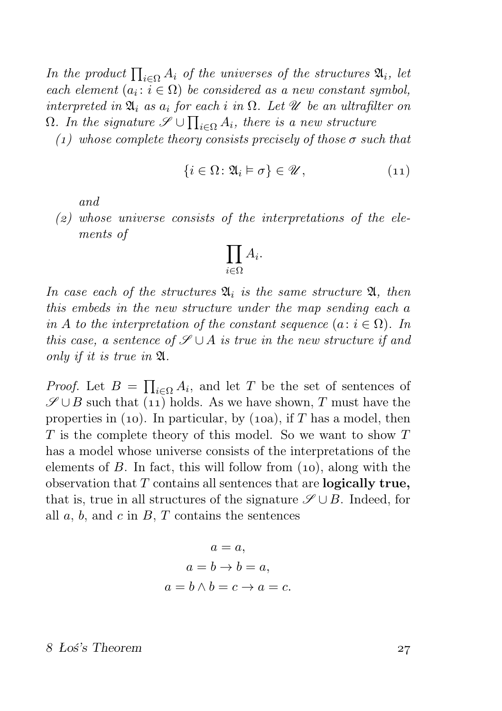In the product  $\prod_{i\in\Omega} A_i$  of the universes of the structures  $\mathfrak{A}_i$ , let each element  $(a_i : i \in \Omega)$  be considered as a new constant symbol, interpreted in  $\mathfrak{A}_i$  as  $a_i$  for each i in  $\Omega$ . Let  $\mathscr U$  be an ultrafilter on  $\Omega$ . In the signature  $\mathscr{S} \cup \prod_{i \in \Omega} A_i$ , there is a new structure

(1) whose complete theory consists precisely of those  $\sigma$  such that

$$
\{i \in \Omega \colon \mathfrak{A}_i \models \sigma\} \in \mathscr{U},\tag{11}
$$

and

 $(z)$  whose universe consists of the interpretations of the elements of

$$
\prod_{i\in\Omega}A_i.
$$

In case each of the structures  $\mathfrak{A}_i$  is the same structure  $\mathfrak{A}_i$ , then this embeds in the new structure under the map sending each a in A to the interpretation of the constant sequence  $(a: i \in \Omega)$ . In this case, a sentence of  $\mathscr{S} \cup A$  is true in the new structure if and only if it is true in A.

*Proof.* Let  $B = \prod_{i \in \Omega} A_i$ , and let T be the set of sentences of  $\mathscr{S} \cup B$  such that (11) holds. As we have shown, T must have the properties in (10). In particular, by (10a), if  $T$  has a model, then  $T$  is the complete theory of this model. So we want to show  $T$ has a model whose universe consists of the interpretations of the elements of  $B$ . In fact, this will follow from  $(10)$ , along with the observation that  $T$  contains all sentences that are **logically true**, that is, true in all structures of the signature  $\mathscr{S} \cup B$ . Indeed, for all  $a, b$ , and  $c$  in  $B, T$  contains the sentences

$$
a = a,
$$
  
\n
$$
a = b \rightarrow b = a,
$$
  
\n
$$
a = b \land b = c \rightarrow a = c.
$$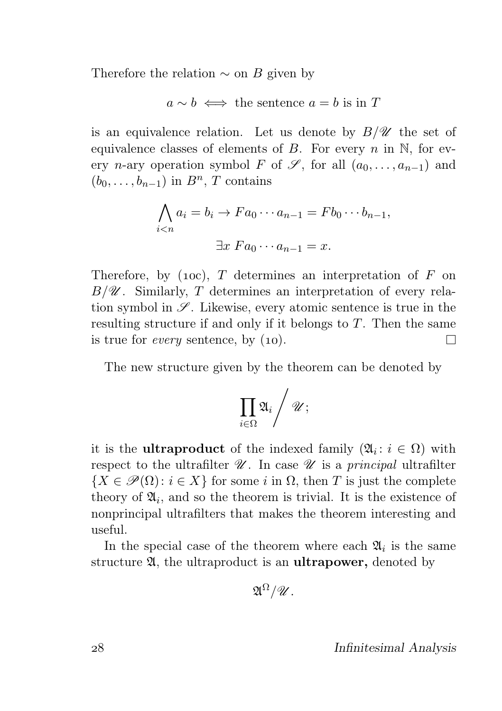Therefore the relation  $\sim$  on B given by

$$
a \sim b \iff
$$
 the sentence  $a = b$  is in T

is an equivalence relation. Let us denote by  $B/\mathscr{U}$  the set of equivalence classes of elements of B. For every  $n$  in N, for every *n*-ary operation symbol F of  $\mathscr{S}$ , for all  $(a_0, \ldots, a_{n-1})$  and  $(b_0, \ldots, b_{n-1})$  in  $B<sup>n</sup>$ , T contains

$$
\bigwedge_{i  

$$
\exists x \ F a_0 \cdots a_{n-1} = x.
$$
$$

Therefore, by (10c), T determines an interpretation of  $F$  on  $B/\mathscr{U}$ . Similarly, T determines an interpretation of every relation symbol in  $\mathscr{S}$ . Likewise, every atomic sentence is true in the resulting structure if and only if it belongs to T. Then the same is true for *every* sentence, by  $(10)$ .  $\Box$ 

The new structure given by the theorem can be denoted by

$$
\prod_{i\in \Omega} \mathfrak{A}_i \Bigg/ \mathscr{U};
$$

it is the **ultraproduct** of the indexed family  $(\mathfrak{A}_i : i \in \Omega)$  with respect to the ultrafilter  $\mathscr U$ . In case  $\mathscr U$  is a principal ultrafilter  ${X \in \mathscr{P}(\Omega) : i \in X}$  for some i in  $\Omega$ , then T is just the complete theory of  $\mathfrak{A}_i$ , and so the theorem is trivial. It is the existence of nonprincipal ultrafilters that makes the theorem interesting and useful.

In the special case of the theorem where each  $\mathfrak{A}_i$  is the same structure 24, the ultraproduct is an **ultrapower**, denoted by

$$
\mathfrak{A}^{\Omega}/\mathscr{U}.
$$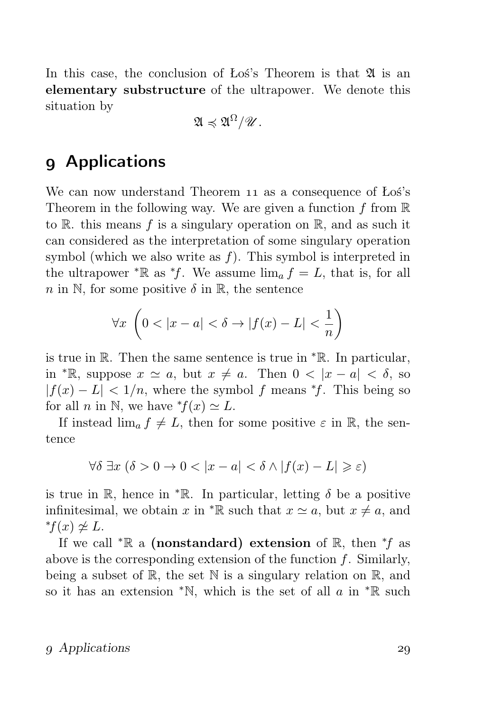In this case, the conclusion of Los's Theorem is that  $\mathfrak A$  is an elementary substructure of the ultrapower. We denote this situation by

$$
\mathfrak{A}\preccurlyeq \mathfrak{A}^{\Omega}/\mathscr{U}.
$$

### Applications

We can now understand Theorem 11 as a consequence of Łoś's Theorem in the following way. We are given a function f from  $\mathbb R$ to R, this means f is a singulary operation on R, and as such it can considered as the interpretation of some singulary operation symbol (which we also write as  $f$ ). This symbol is interpreted in the ultrapower  $\mathbb{R}$  as  $\mathbb{R}^f$ . We assume  $\lim_{\delta} f = L$ , that is, for all n in N, for some positive  $\delta$  in R, the sentence

$$
\forall x \ \left(0 < |x - a| < \delta \rightarrow |f(x) - L| < \frac{1}{n}\right)
$$

is true in R. Then the same sentence is true in  $*R$ . In particular, in \*R, suppose  $x \simeq a$ , but  $x \neq a$ . Then  $0 < |x - a| < \delta$ , so  $|f(x) - L| < 1/n$ , where the symbol f means \*f. This being so for all *n* in N, we have  $f(x) \simeq L$ .

If instead  $\lim_{a} f \neq L$ , then for some positive  $\varepsilon$  in R, the sentence

$$
\forall \delta \ \exists x \ (\delta > 0 \to 0 < |x - a| < \delta \land |f(x) - L| \geqslant \varepsilon)
$$

is true in R, hence in  $*$ R. In particular, letting  $\delta$  be a positive infinitesimal, we obtain x in  $\mathbb{R}$  such that  $x \simeq a$ , but  $x \neq a$ , and  $<sup>*</sup>f(x) \ncong L.$ </sup>

If we call <sup>\*</sup> $\mathbb R$  a (nonstandard) extension of  $\mathbb R$ , then <sup>\*</sup>f as above is the corresponding extension of the function  $f$ . Similarly, being a subset of  $\mathbb{R}$ , the set  $\mathbb N$  is a singulary relation on  $\mathbb{R}$ , and so it has an extension  $*N$ , which is the set of all a in  $*R$  such

#### Applications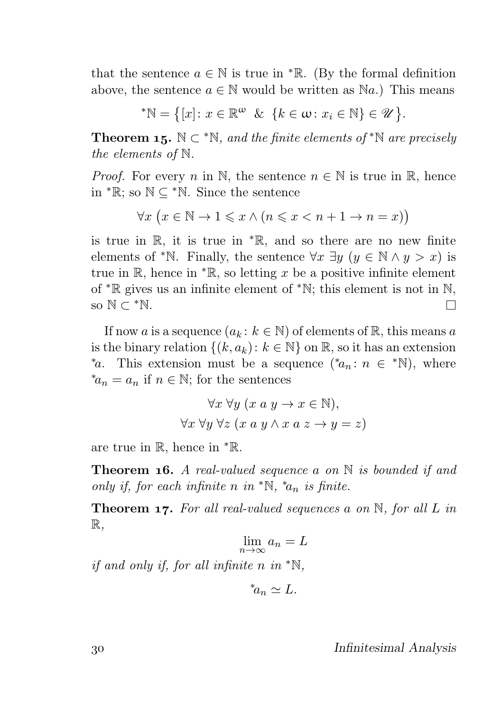that the sentence  $a \in \mathbb{N}$  is true in  $\mathbb{R}$ . (By the formal definition above, the sentence  $a \in \mathbb{N}$  would be written as  $\mathbb{N}a$ .) This means

$$
^*\mathbb{N} = \{ [x] \colon x \in \mathbb{R}^\omega \ \& \ \{k \in \omega \colon x_i \in \mathbb{N} \} \in \mathcal{U} \}.
$$

**Theorem 15.**  $\mathbb{N} \subset \mathbb{N}$ , and the finite elements of  $\mathbb{N}$  are precisely the elements of N.

*Proof.* For every n in N, the sentence  $n \in \mathbb{N}$  is true in R, hence in  $* \mathbb{R}$ ; so  $\mathbb{N} \subseteq {}^* \mathbb{N}$ . Since the sentence

 $\forall x \ (x \in \mathbb{N} \to 1 \leq x \land (n \leq x < n + 1 \to n = x))$ 

is true in R, it is true in <sup>∗</sup>R, and so there are no new finite elements of \*N. Finally, the sentence  $\forall x \exists y \ (y \in \mathbb{N} \land y > x)$  is true in R, hence in  $*$ R, so letting x be a positive infinite element of <sup>∗</sup>R gives us an infinite element of <sup>∗</sup>N; this element is not in N, so  $\mathbb{N} \subset {}^*\mathbb{N}$ . П

If now a is a sequence  $(a_k : k \in \mathbb{N})$  of elements of  $\mathbb{R}$ , this means a is the binary relation  $\{(k, a_k): k \in \mathbb{N}\}\$  on  $\mathbb{R}$ , so it has an extension \*a. This extension must be a sequence (\*a<sub>n</sub>:  $n \in \mathbb{N}$ ), where  $*_a_n = a_n$  if  $n \in \mathbb{N}$ ; for the sentences

$$
\forall x \forall y (x a y \rightarrow x \in \mathbb{N}),
$$
  

$$
\forall x \forall y \forall z (x a y \land x a z \rightarrow y = z)
$$

are true in R, hence in <sup>∗</sup>R.

**Theorem 16.** A real-valued sequence a on  $\mathbb N$  is bounded if and only if, for each infinite n in  ${}^*\mathbb{N}$ ,  ${}^*a_n$  is finite.

**Theorem 17.** For all real-valued sequences a on  $\mathbb{N}$ , for all L in  $\mathbb{R},$ 

$$
\lim_{n \to \infty} a_n = L
$$

if and only if, for all infinite n in  $*N$ ,

$$
^*a_n \simeq L.
$$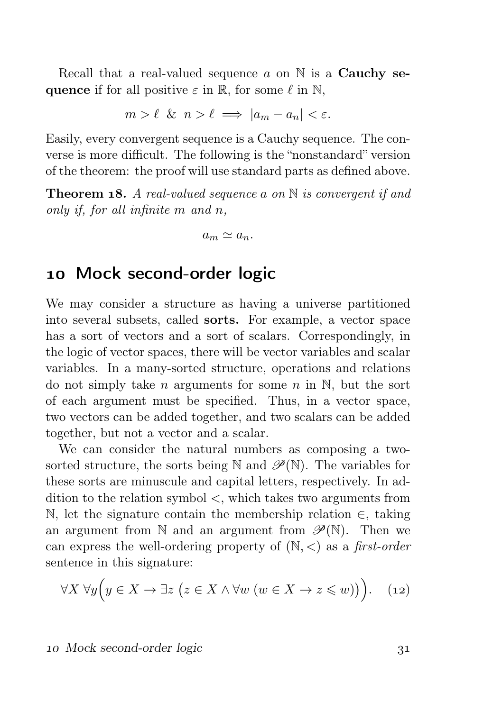Recall that a real-valued sequence a on  $\mathbb N$  is a **Cauchy se**quence if for all positive  $\varepsilon$  in R, for some  $\ell$  in N,

$$
m > \ell \ \& \ n > \ell \implies |a_m - a_n| < \varepsilon.
$$

Easily, every convergent sequence is a Cauchy sequence. The converse is more difficult. The following is the "nonstandard" version of the theorem: the proof will use standard parts as defined above.

**Theorem 18.** A real-valued sequence a on  $\mathbb N$  is convergent if and only if, for all infinite  $m$  and  $n$ ,

$$
a_m \simeq a_n.
$$

### Mock second-order logic

We may consider a structure as having a universe partitioned into several subsets, called sorts. For example, a vector space has a sort of vectors and a sort of scalars. Correspondingly, in the logic of vector spaces, there will be vector variables and scalar variables. In a many-sorted structure, operations and relations do not simply take *n* arguments for some *n* in N, but the sort of each argument must be specified. Thus, in a vector space, two vectors can be added together, and two scalars can be added together, but not a vector and a scalar.

We can consider the natural numbers as composing a twosorted structure, the sorts being N and  $\mathscr{P}(\mathbb{N})$ . The variables for these sorts are minuscule and capital letters, respectively. In addition to the relation symbol <, which takes two arguments from N, let the signature contain the membership relation  $∈$ , taking an argument from  $\mathbb N$  and an argument from  $\mathscr P(\mathbb N)$ . Then we can express the well-ordering property of  $(N, <)$  as a first-order sentence in this signature:

$$
\forall X \,\forall y \Big( y \in X \to \exists z \,\big(z \in X \land \forall w \,(w \in X \to z \leqslant w)\big)\Big). \tag{12}
$$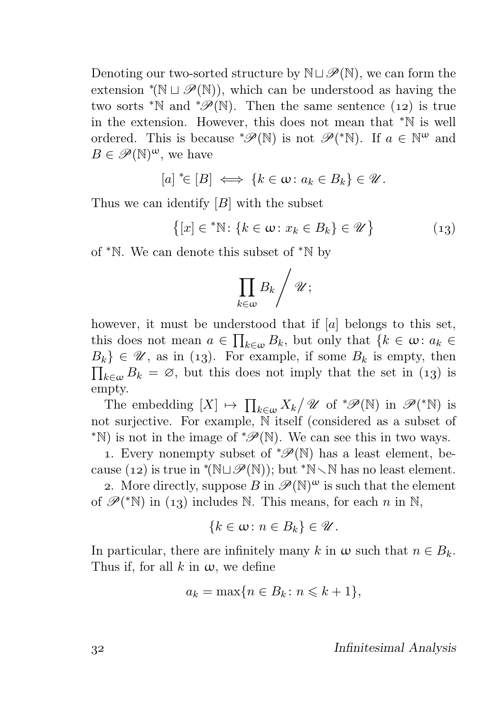Denoting our two-sorted structure by  $\mathbb{N} \sqcup \mathscr{P}(\mathbb{N})$ , we can form the extension  $^*(\mathbb{N} \sqcup \mathscr{P}(\mathbb{N}))$ , which can be understood as having the two sorts <sup>\*</sup>N and <sup>\*</sup> $\mathscr{P}(\mathbb{N})$ . Then the same sentence (12) is true in the extension. However, this does not mean that <sup>∗</sup>N is well ordered. This is because  $^*\mathscr{P}(\mathbb{N})$  is not  $\mathscr{P}({^*\mathbb{N}})$ . If  $a \in \mathbb{N}^{\omega}$  and  $B \in \mathscr{P}(\mathbb{N})^{\omega}$ , we have

$$
[a] \in [B] \iff \{k \in \omega \colon a_k \in B_k\} \in \mathcal{U}.
$$

Thus we can identify  $[B]$  with the subset

 $\{[x] \in {}^*\mathbb{N} : \{k \in \omega : x_k \in B_k\} \in \mathcal{U}\}\$  $(13)$ 

of <sup>∗</sup>N. We can denote this subset of <sup>∗</sup>N by

$$
\prod_{k\in\omega}B_k\bigg/\mathscr U;
$$

however, it must be understood that if [a] belongs to this set, this does not mean  $a \in \prod_{k \in \omega} B_k$ , but only that  $\{k \in \omega : a_k \in$  $B_k$ }  $\in \mathscr{U}$ , as in (13). For example, if some  $B_k$  is empty, then  $\prod_{k\in\omega}B_k = \emptyset$ , but this does not imply that the set in (13) is empty.

The embedding  $[X] \mapsto \prod_{k \in \omega} X_k / \mathscr{U}$  of  $^*\mathscr{P}(\mathbb{N})$  in  $\mathscr{P}({^*\mathbb{N}})$  is not surjective. For example, N itself (considered as a subset of <sup>\*</sup>N) is not in the image of  $^{\ast}\mathscr{P}(\mathbb{N})$ . We can see this in two ways.

1. Every nonempty subset of  $\mathscr{P}(\mathbb{N})$  has a least element, because (12) is true in  $*(\mathbb{N} \cup \mathcal{P}(\mathbb{N}))$ ; but  $*\mathbb{N} \setminus \mathbb{N}$  has no least element.

2. More directly, suppose  $B$  in  $\mathscr{P}(\mathbb{N})^{\omega}$  is such that the element of  $\mathscr{P}$ (\*N) in (13) includes N. This means, for each n in N,

$$
\{k\in\omega\colon n\in B_k\}\in\mathscr{U}.
$$

In particular, there are infinitely many k in  $\omega$  such that  $n \in B_k$ . Thus if, for all k in  $\omega$ , we define

$$
a_k = \max\{n \in B_k \colon n \leqslant k + 1\},\
$$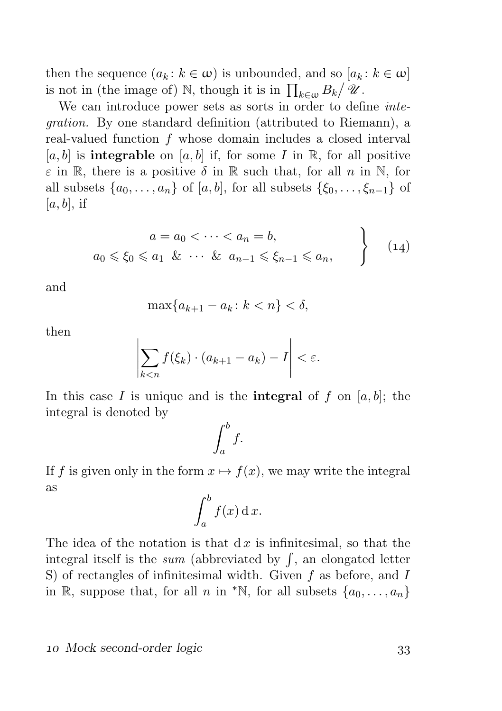then the sequence  $(a_k : k \in \omega)$  is unbounded, and so  $[a_k : k \in \omega]$ is not in (the image of)  $\mathbb N$ , though it is in  $\prod_{k\in\omega}B_k/\mathscr U$ .

We can introduce power sets as sorts in order to define *inte*gration. By one standard definition (attributed to Riemann), a real-valued function f whose domain includes a closed interval [a, b] is **integrable** on [a, b] if, for some I in R, for all positive  $\varepsilon$  in R, there is a positive  $\delta$  in R such that, for all n in N, for all subsets  $\{a_0, \ldots, a_n\}$  of  $[a, b]$ , for all subsets  $\{\xi_0, \ldots, \xi_{n-1}\}$  of  $[a, b]$ , if

$$
a = a_0 < \dots < a_n = b,
$$
  
\n
$$
a_0 \le \xi_0 \le a_1 \& \dots \& a_{n-1} \le \xi_{n-1} \le a_n,
$$
\n
$$
(14)
$$

and

$$
\max\{a_{k+1}-a_k\colon k < n\} < \delta,
$$

then

$$
\left|\sum_{k< n} f(\xi_k) \cdot (a_{k+1} - a_k) - I\right| < \varepsilon.
$$

In this case I is unique and is the **integral** of f on  $[a, b]$ ; the integral is denoted by

$$
\int_a^b f.
$$

If f is given only in the form  $x \mapsto f(x)$ , we may write the integral as

$$
\int_a^b f(x) \, \mathrm{d} \, x.
$$

The idea of the notation is that  $dx$  is infinitesimal, so that the integral itself is the *sum* (abbreviated by  $\int$ , an elongated letter S) of rectangles of infinitesimal width. Given  $f$  as before, and  $I$ in R, suppose that, for all n in  $*\mathbb{N}$ , for all subsets  $\{a_0, \ldots, a_n\}$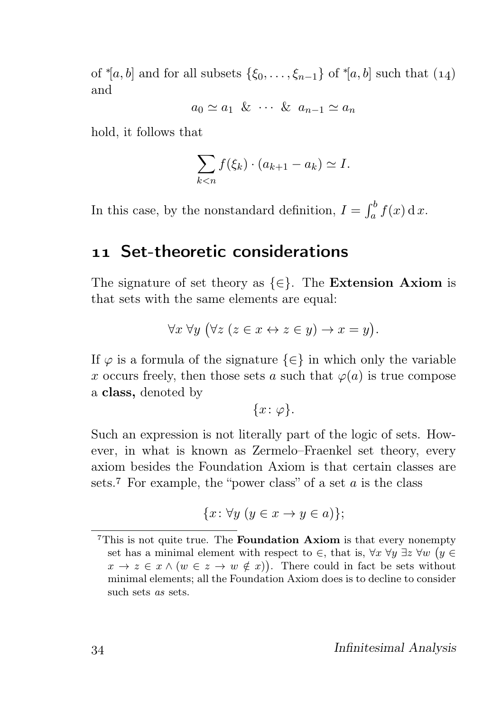of  $*(a, b]$  and for all subsets  $\{\xi_0, \ldots, \xi_{n-1}\}$  of  $*(a, b]$  such that  $(14)$ and

 $a_0 \simeq a_1 \& \cdots \& a_{n-1} \simeq a_n$ 

hold, it follows that

$$
\sum_{k < n} f(\xi_k) \cdot (a_{k+1} - a_k) \simeq I.
$$

In this case, by the nonstandard definition,  $I = \int_a^b f(x) dx$ .

### Set-theoretic considerations

The signature of set theory as  $\{\in\}$ . The Extension Axiom is that sets with the same elements are equal:

$$
\forall x \,\forall y \, (\forall z \, (z \in x \leftrightarrow z \in y) \rightarrow x = y).
$$

If  $\varphi$  is a formula of the signature  $\{\in\}$  in which only the variable x occurs freely, then those sets a such that  $\varphi(a)$  is true compose a class, denoted by

$$
\{x\colon\varphi\}.
$$

Such an expression is not literally part of the logic of sets. However, in what is known as Zermelo–Fraenkel set theory, every axiom besides the Foundation Axiom is that certain classes are sets.<sup>7</sup> For example, the "power class" of a set  $a$  is the class

$$
\{x \colon \forall y \ (y \in x \to y \in a)\};
$$

<sup>&</sup>lt;sup>7</sup>This is not quite true. The **Foundation Axiom** is that every nonempty set has a minimal element with respect to  $\in$ , that is,  $\forall x \; \forall y \; \exists z \; \forall w \; (y \in$  $x \to z \in x \wedge (w \in z \to w \notin x)).$  There could in fact be sets without minimal elements; all the Foundation Axiom does is to decline to consider such sets as sets.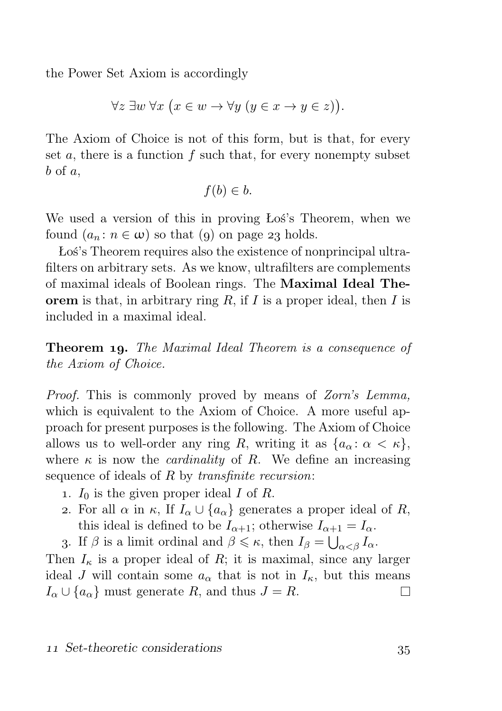the Power Set Axiom is accordingly

$$
\forall z \ \exists w \ \forall x \ \big(x \in w \rightarrow \forall y \ \big(y \in x \rightarrow y \in z\big)\big).
$$

The Axiom of Choice is not of this form, but is that, for every set  $a$ , there is a function  $f$  such that, for every nonempty subset  $b$  of  $a$ ,

$$
f(b) \in b.
$$

We used a version of this in proving Łoś's Theorem, when we found  $(a_n : n \in \omega)$  so that (9) on page 23 holds.

Łoś's Theorem requires also the existence of nonprincipal ultrafilters on arbitrary sets. As we know, ultrafilters are complements of maximal ideals of Boolean rings. The Maximal Ideal Theorem is that, in arbitrary ring  $R$ , if  $I$  is a proper ideal, then  $I$  is included in a maximal ideal.

**Theorem 19.** The Maximal Ideal Theorem is a consequence of the Axiom of Choice.

Proof. This is commonly proved by means of Zorn's Lemma, which is equivalent to the Axiom of Choice. A more useful approach for present purposes is the following. The Axiom of Choice allows us to well-order any ring R, writing it as  $\{a_{\alpha} : \alpha < \kappa\},\$ where  $\kappa$  is now the *cardinality* of R. We define an increasing sequence of ideals of R by *transfinite recursion*:

- 1.  $I_0$  is the given proper ideal I of R.
- 2. For all  $\alpha$  in  $\kappa$ , If  $I_{\alpha} \cup \{a_{\alpha}\}\$  generates a proper ideal of R, this ideal is defined to be  $I_{\alpha+1}$ ; otherwise  $I_{\alpha+1} = I_{\alpha}$ .

3. If  $\beta$  is a limit ordinal and  $\beta \leq \kappa$ , then  $I_{\beta} = \bigcup_{\alpha < \beta} I_{\alpha}$ .

Then  $I_{\kappa}$  is a proper ideal of R; it is maximal, since any larger ideal J will contain some  $a_{\alpha}$  that is not in  $I_{\kappa}$ , but this means  $I_{\alpha} \cup \{a_{\alpha}\}\$  must generate R, and thus  $J = R$ .  $\Box$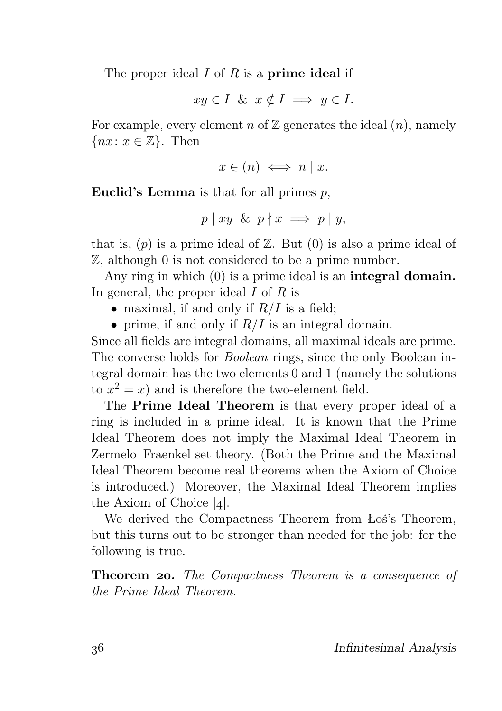The proper ideal  $I$  of  $R$  is a **prime ideal** if

 $xu \in I$  &  $x \notin I \implies u \in I$ .

For example, every element n of  $\mathbb Z$  generates the ideal  $(n)$ , namely  $\{nx: x \in \mathbb{Z}\}\$ . Then

$$
x \in (n) \iff n \mid x.
$$

Euclid's Lemma is that for all primes  $p$ ,

$$
p \mid xy \& p \nmid x \implies p \mid y,
$$

that is,  $(p)$  is a prime ideal of  $\mathbb{Z}$ . But  $(0)$  is also a prime ideal of Z, although 0 is not considered to be a prime number.

Any ring in which (0) is a prime ideal is an **integral domain.** In general, the proper ideal  $I$  of  $R$  is

- maximal, if and only if  $R/I$  is a field:
- prime, if and only if  $R/I$  is an integral domain.

Since all fields are integral domains, all maximal ideals are prime. The converse holds for *Boolean* rings, since the only Boolean integral domain has the two elements 0 and 1 (namely the solutions to  $x^2 = x$ ) and is therefore the two-element field.

The Prime Ideal Theorem is that every proper ideal of a ring is included in a prime ideal. It is known that the Prime Ideal Theorem does not imply the Maximal Ideal Theorem in Zermelo–Fraenkel set theory. (Both the Prime and the Maximal Ideal Theorem become real theorems when the Axiom of Choice is introduced.) Moreover, the Maximal Ideal Theorem implies the Axiom of Choice  $[4]$ .

We derived the Compactness Theorem from Łoś's Theorem, but this turns out to be stronger than needed for the job: for the following is true.

Theorem 20. The Compactness Theorem is a consequence of the Prime Ideal Theorem.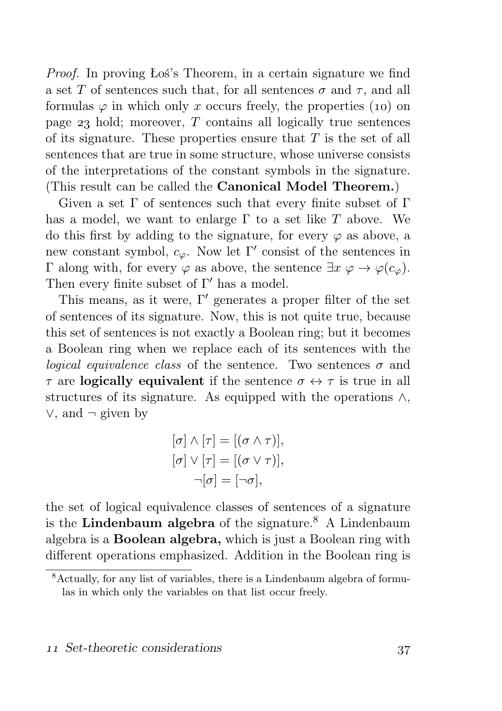Proof. In proving Łoś's Theorem, in a certain signature we find a set T of sentences such that, for all sentences  $\sigma$  and  $\tau$ , and all formulas  $\varphi$  in which only x occurs freely, the properties (10) on page  $23$  hold; moreover, T contains all logically true sentences of its signature. These properties ensure that  $T$  is the set of all sentences that are true in some structure, whose universe consists of the interpretations of the constant symbols in the signature. (This result can be called the Canonical Model Theorem.)

Given a set  $\Gamma$  of sentences such that every finite subset of  $\Gamma$ has a model, we want to enlarge  $\Gamma$  to a set like T above. We do this first by adding to the signature, for every  $\varphi$  as above, a new constant symbol,  $c_{\varphi}$ . Now let Γ' consist of the sentences in Γ along with, for every  $\varphi$  as above, the sentence  $\exists x \varphi \rightarrow \varphi(c_{\varphi})$ . Then every finite subset of  $\Gamma'$  has a model.

This means, as it were,  $\Gamma'$  generates a proper filter of the set of sentences of its signature. Now, this is not quite true, because this set of sentences is not exactly a Boolean ring; but it becomes a Boolean ring when we replace each of its sentences with the *logical equivalence class* of the sentence. Two sentences  $\sigma$  and  $\tau$  are **logically equivalent** if the sentence  $\sigma \leftrightarrow \tau$  is true in all structures of its signature. As equipped with the operations ∧, ∨, and ¬ given by

$$
[\sigma] \wedge [\tau] = [(\sigma \wedge \tau)],
$$

$$
[\sigma] \vee [\tau] = [(\sigma \vee \tau)],
$$

$$
\neg[\sigma] = [\neg \sigma],
$$

the set of logical equivalence classes of sentences of a signature is the Lindenbaum algebra of the signature.<sup>8</sup> A Lindenbaum algebra is a Boolean algebra, which is just a Boolean ring with different operations emphasized. Addition in the Boolean ring is

 $\frac{8 \text{Actually, for any list of variables, there is a Lindenbaum algebra of formu-}$ las in which only the variables on that list occur freely.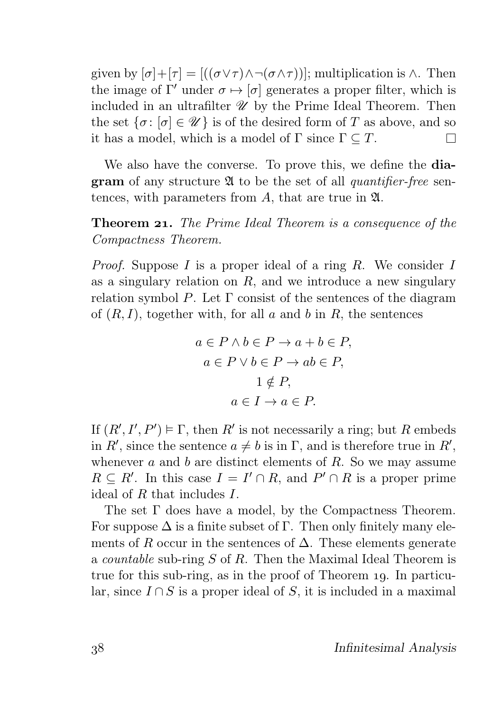given by  $[\sigma]+[\tau] = [((\sigma \vee \tau) \wedge \neg(\sigma \wedge \tau))]$ ; multiplication is  $\wedge$ . Then the image of  $\Gamma'$  under  $\sigma \mapsto [\sigma]$  generates a proper filter, which is included in an ultrafilter  $\mathscr U$  by the Prime Ideal Theorem. Then the set  $\{\sigma: [\sigma] \in \mathcal{U}\}\$ is of the desired form of T as above, and so it has a model, which is a model of  $\Gamma$  since  $\Gamma \subseteq T$ . П

We also have the converse. To prove this, we define the **diagram** of any structure  $\mathfrak A$  to be the set of all *quantifier-free* sentences, with parameters from A, that are true in  $\mathfrak{A}$ .

**Theorem 21.** The Prime Ideal Theorem is a consequence of the Compactness Theorem.

*Proof.* Suppose I is a proper ideal of a ring R. We consider I as a singulary relation on  $R$ , and we introduce a new singulary relation symbol P. Let  $\Gamma$  consist of the sentences of the diagram of  $(R, I)$ , together with, for all a and b in R, the sentences

$$
a \in P \land b \in P \to a + b \in P,
$$
  
\n
$$
a \in P \lor b \in P \to ab \in P,
$$
  
\n
$$
1 \notin P,
$$
  
\n
$$
a \in I \to a \in P.
$$

If  $(R', I', P') \models \Gamma$ , then R' is not necessarily a ring; but R embeds in R', since the sentence  $a \neq b$  is in  $\Gamma$ , and is therefore true in R', whenever a and b are distinct elements of  $R$ . So we may assume  $R \subseteq R'$ . In this case  $I = I' \cap R$ , and  $P' \cap R$  is a proper prime ideal of  $R$  that includes  $I$ .

The set Γ does have a model, by the Compactness Theorem. For suppose  $\Delta$  is a finite subset of  $\Gamma$ . Then only finitely many elements of R occur in the sentences of  $\Delta$ . These elements generate a countable sub-ring S of R. Then the Maximal Ideal Theorem is true for this sub-ring, as in the proof of Theorem 19. In particular, since  $I \cap S$  is a proper ideal of S, it is included in a maximal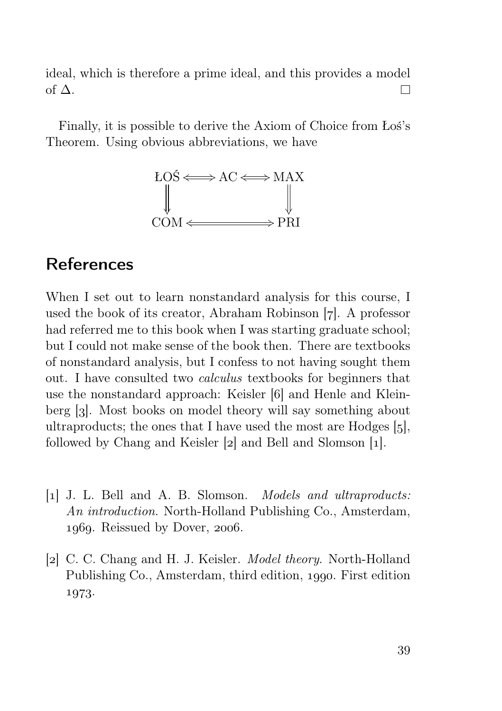ideal, which is therefore a prime ideal, and this provides a model of  $\Delta$ .  $\Box$ 

Finally, it is possible to derive the Axiom of Choice from Łoś's Theorem. Using obvious abbreviations, we have



## References

When I set out to learn nonstandard analysis for this course, I used the book of its creator, Abraham Robinson  $[7]$ . A professor had referred me to this book when I was starting graduate school; but I could not make sense of the book then. There are textbooks of nonstandard analysis, but I confess to not having sought them out. I have consulted two calculus textbooks for beginners that use the nonstandard approach: Keisler [6] and Henle and Kleinberg [3]. Most books on model theory will say something about ultraproducts; the ones that I have used the most are Hodges  $[5]$ , followed by Chang and Keisler  $[2]$  and Bell and Slomson  $[1]$ .

- [] J. L. Bell and A. B. Slomson. Models and ultraproducts: An *introduction*. North-Holland Publishing Co., Amsterdam,  $1060$ . Reissued by Dover,  $2006$ .
- [2] C. C. Chang and H. J. Keisler. *Model theory*. North-Holland Publishing Co., Amsterdam, third edition, 1990. First edition 1973.